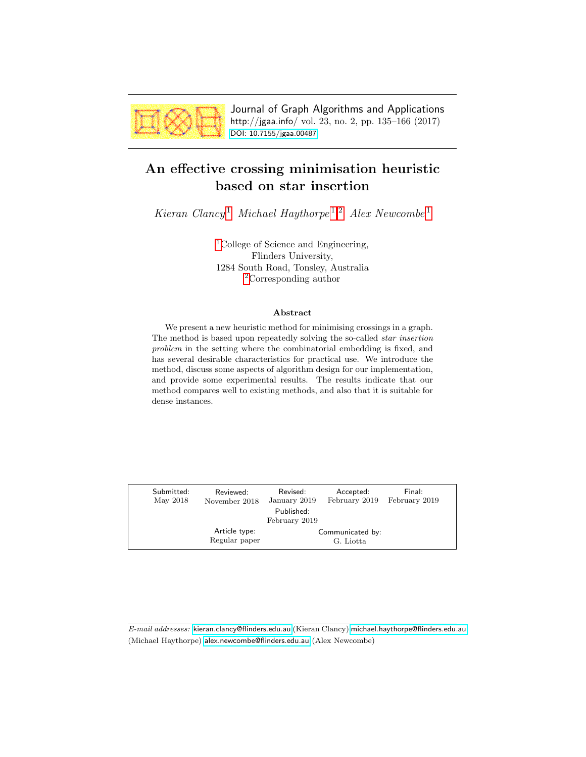

Journal of Graph Algorithms and Applications http://jgaa.info/ vol. 23, no. 2, pp. 135–166 (2017) [DOI: 10.7155/jgaa.00487](http://dx.doi.org/10.7155/jgaa.00487)

# <span id="page-0-0"></span>An effective crossing minimisation heuristic based on star insertion

Kieran Clancy<sup>[1](#page-0-0)</sup> Michael Haythorpe<sup>1,[2](#page-0-0)</sup> Alex Newcombe<sup>1</sup>

<sup>[1](#page-0-0)</sup>College of Science and Engineering, Flinders University, 1284 South Road, Tonsley, Australia [2](#page-0-0)Corresponding author

#### Abstract

We present a new heuristic method for minimising crossings in a graph. The method is based upon repeatedly solving the so-called star insertion problem in the setting where the combinatorial embedding is fixed, and has several desirable characteristics for practical use. We introduce the method, discuss some aspects of algorithm design for our implementation, and provide some experimental results. The results indicate that our method compares well to existing methods, and also that it is suitable for dense instances.

| Submitted:<br>May 2018 | Reviewed:<br>November 2018 | Revised:<br>January 2019 | Accepted:<br>February 2019 | Final:<br>February 2019 |
|------------------------|----------------------------|--------------------------|----------------------------|-------------------------|
|                        |                            | Published:               |                            |                         |
|                        |                            | February 2019            |                            |                         |
|                        | Article type:              |                          | Communicated by:           |                         |
|                        | Regular paper              |                          | G. Liotta                  |                         |
|                        |                            |                          |                            |                         |

E-mail addresses: [kieran.clancy@flinders.edu.au](mailto:kieran.clancy@flinders.edu.au) (Kieran Clancy) [michael.haythorpe@flinders.edu.au](mailto:michael.haythorpe@flinders.edu.au) (Michael Haythorpe) [alex.newcombe@flinders.edu.au](mailto:alex.newcombe@flinders.edu.au) (Alex Newcombe)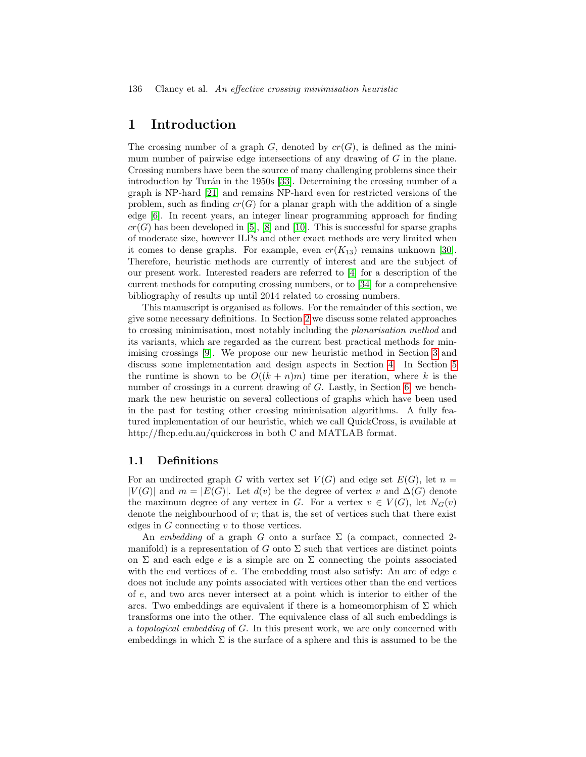## 1 Introduction

The crossing number of a graph  $G$ , denoted by  $cr(G)$ , is defined as the minimum number of pairwise edge intersections of any drawing of  $G$  in the plane. Crossing numbers have been the source of many challenging problems since their introduction by Turán in the 1950s [\[33\]](#page-31-0). Determining the crossing number of a graph is NP-hard [\[21\]](#page-30-0) and remains NP-hard even for restricted versions of the problem, such as finding  $cr(G)$  for a planar graph with the addition of a single edge [\[6\]](#page-29-0). In recent years, an integer linear programming approach for finding  $cr(G)$  has been developed in [\[5\]](#page-29-1), [\[8\]](#page-29-2) and [\[10\]](#page-29-3). This is successful for sparse graphs of moderate size, however ILPs and other exact methods are very limited when it comes to dense graphs. For example, even  $cr(K_{13})$  remains unknown [\[30\]](#page-31-1). Therefore, heuristic methods are currently of interest and are the subject of our present work. Interested readers are referred to [\[4\]](#page-29-4) for a description of the current methods for computing crossing numbers, or to [\[34\]](#page-31-2) for a comprehensive bibliography of results up until 2014 related to crossing numbers.

This manuscript is organised as follows. For the remainder of this section, we give some necessary definitions. In Section [2](#page-3-0) we discuss some related approaches to crossing minimisation, most notably including the planarisation method and its variants, which are regarded as the current best practical methods for minimising crossings [\[9\]](#page-29-5). We propose our new heuristic method in Section [3](#page-6-0) and discuss some implementation and design aspects in Section [4.](#page-8-0) In Section [5](#page-14-0) the runtime is shown to be  $O((k+n)m)$  time per iteration, where k is the number of crossings in a current drawing of G. Lastly, in Section [6,](#page-18-0) we benchmark the new heuristic on several collections of graphs which have been used in the past for testing other crossing minimisation algorithms. A fully featured implementation of our heuristic, which we call QuickCross, is available at http://fhcp.edu.au/quickcross in both C and MATLAB format.

#### 1.1 Definitions

For an undirected graph G with vertex set  $V(G)$  and edge set  $E(G)$ , let  $n =$  $|V(G)|$  and  $m = |E(G)|$ . Let  $d(v)$  be the degree of vertex v and  $\Delta(G)$  denote the maximum degree of any vertex in G. For a vertex  $v \in V(G)$ , let  $N_G(v)$ denote the neighbourhood of  $v$ ; that is, the set of vertices such that there exist edges in  $G$  connecting  $v$  to those vertices.

An embedding of a graph G onto a surface  $\Sigma$  (a compact, connected 2manifold) is a representation of G onto  $\Sigma$  such that vertices are distinct points on  $\Sigma$  and each edge e is a simple arc on  $\Sigma$  connecting the points associated with the end vertices of  $e$ . The embedding must also satisfy: An arc of edge  $e$ does not include any points associated with vertices other than the end vertices of e, and two arcs never intersect at a point which is interior to either of the arcs. Two embeddings are equivalent if there is a homeomorphism of  $\Sigma$  which transforms one into the other. The equivalence class of all such embeddings is a topological embedding of G. In this present work, we are only concerned with embeddings in which  $\Sigma$  is the surface of a sphere and this is assumed to be the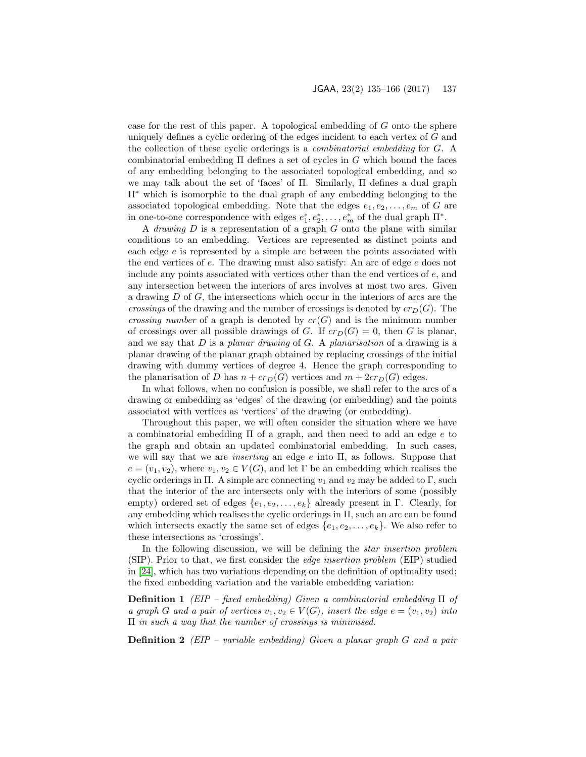case for the rest of this paper. A topological embedding of G onto the sphere uniquely defines a cyclic ordering of the edges incident to each vertex of G and the collection of these cyclic orderings is a combinatorial embedding for G. A combinatorial embedding  $\Pi$  defines a set of cycles in G which bound the faces of any embedding belonging to the associated topological embedding, and so we may talk about the set of 'faces' of Π. Similarly, Π defines a dual graph Π<sup>∗</sup> which is isomorphic to the dual graph of any embedding belonging to the associated topological embedding. Note that the edges  $e_1, e_2, \ldots, e_m$  of G are in one-to-one correspondence with edges  $e_1^*, e_2^*, \ldots, e_m^*$  of the dual graph  $\Pi^*$ .

A *drawing*  $D$  is a representation of a graph  $G$  onto the plane with similar conditions to an embedding. Vertices are represented as distinct points and each edge  $e$  is represented by a simple arc between the points associated with the end vertices of e. The drawing must also satisfy: An arc of edge e does not include any points associated with vertices other than the end vertices of  $e$ , and any intersection between the interiors of arcs involves at most two arcs. Given a drawing D of G, the intersections which occur in the interiors of arcs are the crossings of the drawing and the number of crossings is denoted by  $cr_D(G)$ . The *crossing number* of a graph is denoted by  $cr(G)$  and is the minimum number of crossings over all possible drawings of G. If  $cr_D(G) = 0$ , then G is planar, and we say that  $D$  is a planar drawing of  $G$ . A planarisation of a drawing is a planar drawing of the planar graph obtained by replacing crossings of the initial drawing with dummy vertices of degree 4. Hence the graph corresponding to the planarisation of D has  $n + cr_D(G)$  vertices and  $m + 2cr_D(G)$  edges.

In what follows, when no confusion is possible, we shall refer to the arcs of a drawing or embedding as 'edges' of the drawing (or embedding) and the points associated with vertices as 'vertices' of the drawing (or embedding).

Throughout this paper, we will often consider the situation where we have a combinatorial embedding  $\Pi$  of a graph, and then need to add an edge e to the graph and obtain an updated combinatorial embedding. In such cases, we will say that we are *inserting* an edge  $e$  into  $\Pi$ , as follows. Suppose that  $e = (v_1, v_2)$ , where  $v_1, v_2 \in V(G)$ , and let  $\Gamma$  be an embedding which realises the cyclic orderings in Π. A simple arc connecting  $v_1$  and  $v_2$  may be added to Γ, such that the interior of the arc intersects only with the interiors of some (possibly empty) ordered set of edges  $\{e_1, e_2, \ldots, e_k\}$  already present in Γ. Clearly, for any embedding which realises the cyclic orderings in Π, such an arc can be found which intersects exactly the same set of edges  $\{e_1, e_2, \ldots, e_k\}$ . We also refer to these intersections as 'crossings'.

In the following discussion, we will be defining the *star insertion problem* (SIP). Prior to that, we first consider the edge insertion problem (EIP) studied in [\[24\]](#page-31-3), which has two variations depending on the definition of optimality used; the fixed embedding variation and the variable embedding variation:

**Definition 1** (EIP – fixed embedding) Given a combinatorial embedding  $\Pi$  of a graph G and a pair of vertices  $v_1, v_2 \in V(G)$ , insert the edge  $e = (v_1, v_2)$  into  $\Pi$  in such a way that the number of crossings is minimised.

**Definition 2** (EIP – variable embedding) Given a planar graph  $G$  and a pair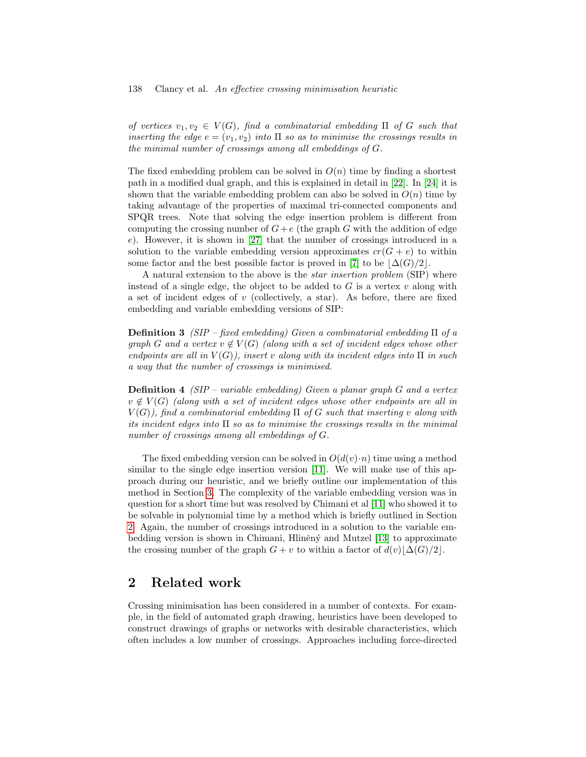of vertices  $v_1, v_2 \in V(G)$ , find a combinatorial embedding  $\Pi$  of G such that inserting the edge  $e = (v_1, v_2)$  into  $\Pi$  so as to minimise the crossings results in the minimal number of crossings among all embeddings of G.

The fixed embedding problem can be solved in  $O(n)$  time by finding a shortest path in a modified dual graph, and this is explained in detail in [\[22\]](#page-30-1). In [\[24\]](#page-31-3) it is shown that the variable embedding problem can also be solved in  $O(n)$  time by taking advantage of the properties of maximal tri-connected components and SPQR trees. Note that solving the edge insertion problem is different from computing the crossing number of  $G+e$  (the graph G with the addition of edge e). However, it is shown in [\[27\]](#page-31-4) that the number of crossings introduced in a solution to the variable embedding version approximates  $cr(G + e)$  to within some factor and the best possible factor is proved in [\[7\]](#page-29-6) to be  $\Delta(G)/2$ .

A natural extension to the above is the *star insertion problem* (SIP) where instead of a single edge, the object to be added to  $G$  is a vertex  $v$  along with a set of incident edges of  $v$  (collectively, a star). As before, there are fixed embedding and variable embedding versions of SIP:

**Definition 3** (SIP – fixed embedding) Given a combinatorial embedding  $\Pi$  of a graph G and a vertex  $v \notin V(G)$  (along with a set of incident edges whose other endpoints are all in  $V(G)$ , insert v along with its incident edges into  $\Pi$  in such a way that the number of crossings is minimised.

**Definition 4** (SIP – variable embedding) Given a planar graph G and a vertex  $v \notin V(G)$  (along with a set of incident edges whose other endpoints are all in  $V(G)$ , find a combinatorial embedding  $\Pi$  of G such that inserting v along with its incident edges into  $\Pi$  so as to minimise the crossings results in the minimal number of crossings among all embeddings of G.

The fixed embedding version can be solved in  $O(d(v) \cdot n)$  time using a method similar to the single edge insertion version [\[11\]](#page-30-2). We will make use of this approach during our heuristic, and we briefly outline our implementation of this method in Section [3.](#page-6-0) The complexity of the variable embedding version was in question for a short time but was resolved by Chimani et al [\[11\]](#page-30-2) who showed it to be solvable in polynomial time by a method which is briefly outlined in Section [2.](#page-3-0) Again, the number of crossings introduced in a solution to the variable em-bedding version is shown in Chimani, Hliněný and Mutzel [\[13\]](#page-30-3) to approximate the crossing number of the graph  $G + v$  to within a factor of  $d(v)|\Delta(G)/2|$ .

## <span id="page-3-0"></span>2 Related work

Crossing minimisation has been considered in a number of contexts. For example, in the field of automated graph drawing, heuristics have been developed to construct drawings of graphs or networks with desirable characteristics, which often includes a low number of crossings. Approaches including force-directed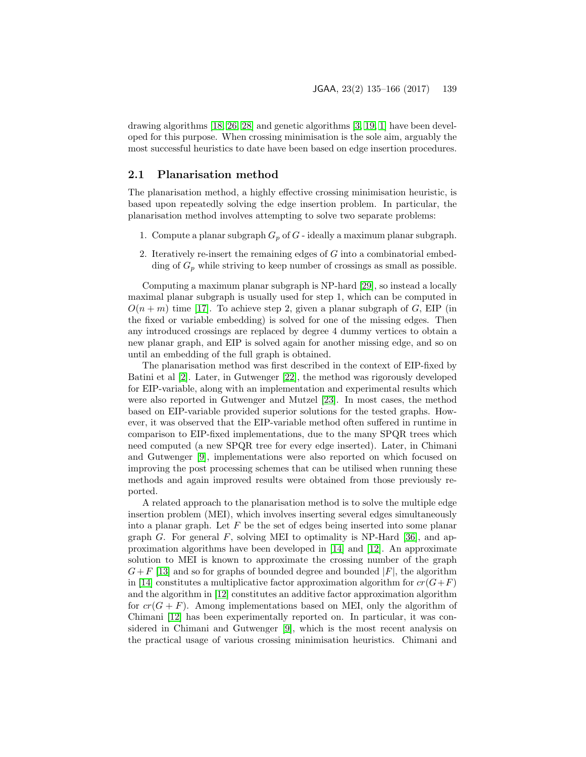drawing algorithms [\[18,](#page-30-4) [26,](#page-31-5) [28\]](#page-31-6) and genetic algorithms [\[3,](#page-29-7) [19,](#page-30-5) [1\]](#page-29-8) have been developed for this purpose. When crossing minimisation is the sole aim, arguably the most successful heuristics to date have been based on edge insertion procedures.

#### 2.1 Planarisation method

The planarisation method, a highly effective crossing minimisation heuristic, is based upon repeatedly solving the edge insertion problem. In particular, the planarisation method involves attempting to solve two separate problems:

- 1. Compute a planar subgraph  $G_p$  of  $G$  ideally a maximum planar subgraph.
- 2. Iteratively re-insert the remaining edges of G into a combinatorial embedding of  $G_p$  while striving to keep number of crossings as small as possible.

Computing a maximum planar subgraph is NP-hard [\[29\]](#page-31-7), so instead a locally maximal planar subgraph is usually used for step 1, which can be computed in  $O(n+m)$  time [\[17\]](#page-30-6). To achieve step 2, given a planar subgraph of G, EIP (in the fixed or variable embedding) is solved for one of the missing edges. Then any introduced crossings are replaced by degree 4 dummy vertices to obtain a new planar graph, and EIP is solved again for another missing edge, and so on until an embedding of the full graph is obtained.

The planarisation method was first described in the context of EIP-fixed by Batini et al [\[2\]](#page-29-9). Later, in Gutwenger [\[22\]](#page-30-1), the method was rigorously developed for EIP-variable, along with an implementation and experimental results which were also reported in Gutwenger and Mutzel [\[23\]](#page-31-8). In most cases, the method based on EIP-variable provided superior solutions for the tested graphs. However, it was observed that the EIP-variable method often suffered in runtime in comparison to EIP-fixed implementations, due to the many SPQR trees which need computed (a new SPQR tree for every edge inserted). Later, in Chimani and Gutwenger [\[9\]](#page-29-5), implementations were also reported on which focused on improving the post processing schemes that can be utilised when running these methods and again improved results were obtained from those previously reported.

A related approach to the planarisation method is to solve the multiple edge insertion problem (MEI), which involves inserting several edges simultaneously into a planar graph. Let  $F$  be the set of edges being inserted into some planar graph G. For general F, solving MEI to optimality is NP-Hard [\[36\]](#page-31-9), and approximation algorithms have been developed in [\[14\]](#page-30-7) and [\[12\]](#page-30-8). An approximate solution to MEI is known to approximate the crossing number of the graph  $G+F$  [\[13\]](#page-30-3) and so for graphs of bounded degree and bounded  $|F|$ , the algorithm in [\[14\]](#page-30-7) constitutes a multiplicative factor approximation algorithm for  $cr(G+F)$ and the algorithm in [\[12\]](#page-30-8) constitutes an additive factor approximation algorithm for  $cr(G + F)$ . Among implementations based on MEI, only the algorithm of Chimani [\[12\]](#page-30-8) has been experimentally reported on. In particular, it was considered in Chimani and Gutwenger [\[9\]](#page-29-5), which is the most recent analysis on the practical usage of various crossing minimisation heuristics. Chimani and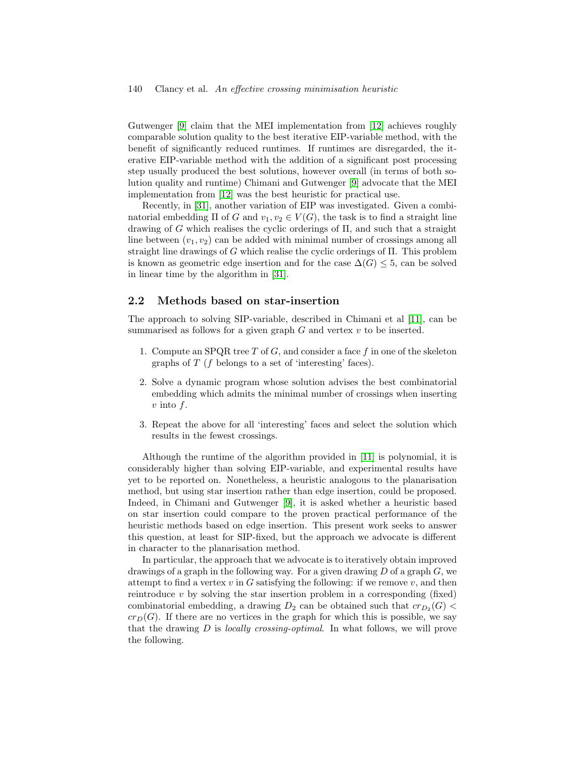Gutwenger [\[9\]](#page-29-5) claim that the MEI implementation from [\[12\]](#page-30-8) achieves roughly comparable solution quality to the best iterative EIP-variable method, with the benefit of significantly reduced runtimes. If runtimes are disregarded, the iterative EIP-variable method with the addition of a significant post processing step usually produced the best solutions, however overall (in terms of both solution quality and runtime) Chimani and Gutwenger [\[9\]](#page-29-5) advocate that the MEI implementation from [\[12\]](#page-30-8) was the best heuristic for practical use.

Recently, in [\[31\]](#page-31-10), another variation of EIP was investigated. Given a combinatorial embedding  $\Pi$  of G and  $v_1, v_2 \in V(G)$ , the task is to find a straight line drawing of G which realises the cyclic orderings of Π, and such that a straight line between  $(v_1, v_2)$  can be added with minimal number of crossings among all straight line drawings of G which realise the cyclic orderings of Π. This problem is known as geometric edge insertion and for the case  $\Delta(G) \leq 5$ , can be solved in linear time by the algorithm in [\[31\]](#page-31-10).

#### 2.2 Methods based on star-insertion

The approach to solving SIP-variable, described in Chimani et al [\[11\]](#page-30-2), can be summarised as follows for a given graph  $G$  and vertex  $v$  to be inserted.

- 1. Compute an SPQR tree  $T$  of  $G$ , and consider a face  $f$  in one of the skeleton graphs of  $T$  ( $f$  belongs to a set of 'interesting' faces).
- 2. Solve a dynamic program whose solution advises the best combinatorial embedding which admits the minimal number of crossings when inserting  $v$  into  $f$ .
- 3. Repeat the above for all 'interesting' faces and select the solution which results in the fewest crossings.

Although the runtime of the algorithm provided in [\[11\]](#page-30-2) is polynomial, it is considerably higher than solving EIP-variable, and experimental results have yet to be reported on. Nonetheless, a heuristic analogous to the planarisation method, but using star insertion rather than edge insertion, could be proposed. Indeed, in Chimani and Gutwenger [\[9\]](#page-29-5), it is asked whether a heuristic based on star insertion could compare to the proven practical performance of the heuristic methods based on edge insertion. This present work seeks to answer this question, at least for SIP-fixed, but the approach we advocate is different in character to the planarisation method.

In particular, the approach that we advocate is to iteratively obtain improved drawings of a graph in the following way. For a given drawing  $D$  of a graph  $G$ , we attempt to find a vertex  $v$  in G satisfying the following: if we remove  $v$ , and then reintroduce  $v$  by solving the star insertion problem in a corresponding (fixed) combinatorial embedding, a drawing  $D_2$  can be obtained such that  $cr_{D_2}(G)$  <  $cr_D(G)$ . If there are no vertices in the graph for which this is possible, we say that the drawing D is locally crossing-optimal. In what follows, we will prove the following.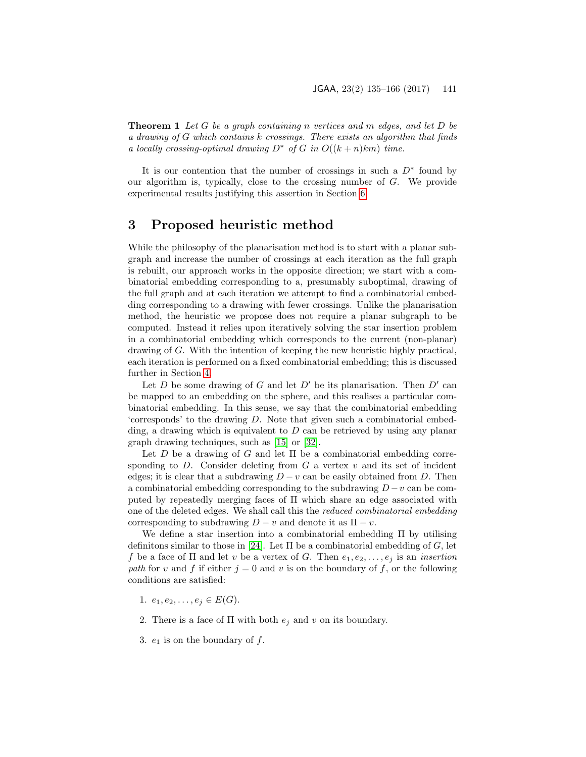**Theorem 1** Let G be a graph containing n vertices and m edges, and let D be a drawing of G which contains k crossings. There exists an algorithm that finds a locally crossing-optimal drawing  $D^*$  of G in  $O((k+n)km)$  time.

It is our contention that the number of crossings in such a  $D^*$  found by our algorithm is, typically, close to the crossing number of  $G$ . We provide experimental results justifying this assertion in Section [6.](#page-18-0)

## <span id="page-6-0"></span>3 Proposed heuristic method

While the philosophy of the planarisation method is to start with a planar subgraph and increase the number of crossings at each iteration as the full graph is rebuilt, our approach works in the opposite direction; we start with a combinatorial embedding corresponding to a, presumably suboptimal, drawing of the full graph and at each iteration we attempt to find a combinatorial embedding corresponding to a drawing with fewer crossings. Unlike the planarisation method, the heuristic we propose does not require a planar subgraph to be computed. Instead it relies upon iteratively solving the star insertion problem in a combinatorial embedding which corresponds to the current (non-planar) drawing of G. With the intention of keeping the new heuristic highly practical, each iteration is performed on a fixed combinatorial embedding; this is discussed further in Section [4.](#page-8-0)

Let D be some drawing of G and let  $D'$  be its planarisation. Then  $D'$  can be mapped to an embedding on the sphere, and this realises a particular combinatorial embedding. In this sense, we say that the combinatorial embedding 'corresponds' to the drawing D. Note that given such a combinatorial embedding, a drawing which is equivalent to  $D$  can be retrieved by using any planar graph drawing techniques, such as [\[15\]](#page-30-9) or [\[32\]](#page-31-11).

Let D be a drawing of G and let  $\Pi$  be a combinatorial embedding corresponding to  $D$ . Consider deleting from  $G$  a vertex  $v$  and its set of incident edges; it is clear that a subdrawing  $D - v$  can be easily obtained from D. Then a combinatorial embedding corresponding to the subdrawing  $D - v$  can be computed by repeatedly merging faces of  $\Pi$  which share an edge associated with one of the deleted edges. We shall call this the reduced combinatorial embedding corresponding to subdrawing  $D - v$  and denote it as  $\Pi - v$ .

We define a star insertion into a combinatorial embedding Π by utilising definitions similar to those in [\[24\]](#page-31-3). Let  $\Pi$  be a combinatorial embedding of G, let f be a face of  $\Pi$  and let v be a vertex of G. Then  $e_1, e_2, \ldots, e_i$  is an *insertion* path for v and f if either  $j = 0$  and v is on the boundary of f, or the following conditions are satisfied:

- 1.  $e_1, e_2, \ldots, e_j \in E(G)$ .
- 2. There is a face of  $\Pi$  with both  $e_j$  and v on its boundary.
- 3.  $e_1$  is on the boundary of  $f$ .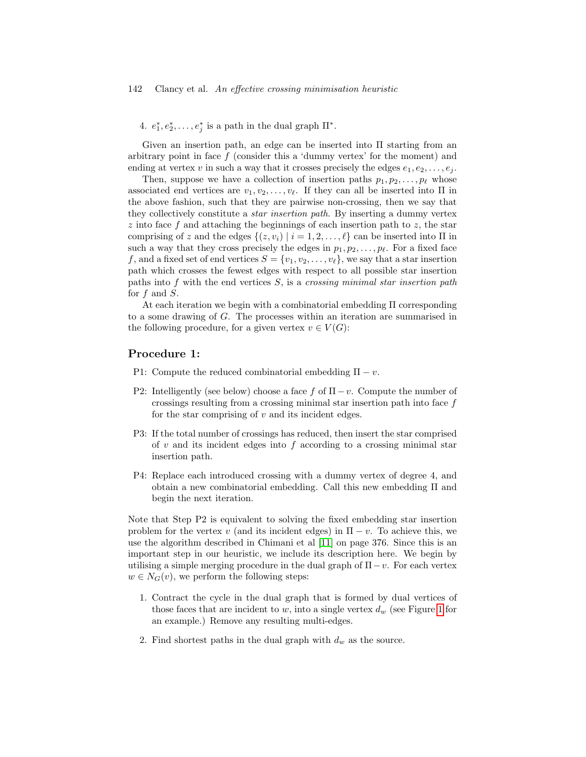4.  $e_1^*, e_2^*, \ldots, e_j^*$  is a path in the dual graph  $\Pi^*$ .

Given an insertion path, an edge can be inserted into Π starting from an arbitrary point in face  $f$  (consider this a 'dummy vertex' for the moment) and ending at vertex v in such a way that it crosses precisely the edges  $e_1, e_2, \ldots, e_i$ .

Then, suppose we have a collection of insertion paths  $p_1, p_2, \ldots, p_\ell$  whose associated end vertices are  $v_1, v_2, \ldots, v_\ell$ . If they can all be inserted into Π in the above fashion, such that they are pairwise non-crossing, then we say that they collectively constitute a star insertion path. By inserting a dummy vertex  $z$  into face  $f$  and attaching the beginnings of each insertion path to  $z$ , the star comprising of z and the edges  $\{(z, v_i) | i = 1, 2, \ldots, \ell\}$  can be inserted into  $\Pi$  in such a way that they cross precisely the edges in  $p_1, p_2, \ldots, p_\ell$ . For a fixed face f, and a fixed set of end vertices  $S = \{v_1, v_2, \ldots, v_\ell\}$ , we say that a star insertion path which crosses the fewest edges with respect to all possible star insertion paths into  $f$  with the end vertices  $S$ , is a crossing minimal star insertion path for  $f$  and  $S$ .

At each iteration we begin with a combinatorial embedding Π corresponding to a some drawing of G. The processes within an iteration are summarised in the following procedure, for a given vertex  $v \in V(G)$ :

#### Procedure 1:

P1: Compute the reduced combinatorial embedding  $\Pi - v$ .

- P2: Intelligently (see below) choose a face f of  $\Pi-v$ . Compute the number of crossings resulting from a crossing minimal star insertion path into face f for the star comprising of  $v$  and its incident edges.
- P3: If the total number of crossings has reduced, then insert the star comprised of  $v$  and its incident edges into  $f$  according to a crossing minimal star insertion path.
- P4: Replace each introduced crossing with a dummy vertex of degree 4, and obtain a new combinatorial embedding. Call this new embedding Π and begin the next iteration.

Note that Step P2 is equivalent to solving the fixed embedding star insertion problem for the vertex v (and its incident edges) in  $\Pi - v$ . To achieve this, we use the algorithm described in Chimani et al [\[11\]](#page-30-2) on page 376. Since this is an important step in our heuristic, we include its description here. We begin by utilising a simple merging procedure in the dual graph of  $\Pi-v$ . For each vertex  $w \in N_G(v)$ , we perform the following steps:

- 1. Contract the cycle in the dual graph that is formed by dual vertices of those faces that are incident to w, into a single vertex  $d_w$  (see Figure [1](#page-8-1) for an example.) Remove any resulting multi-edges.
- 2. Find shortest paths in the dual graph with  $d_w$  as the source.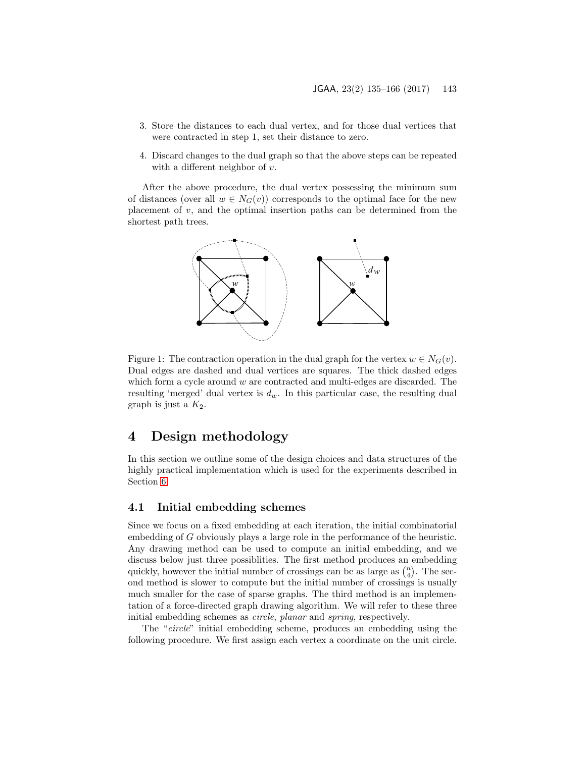- 3. Store the distances to each dual vertex, and for those dual vertices that were contracted in step 1, set their distance to zero.
- 4. Discard changes to the dual graph so that the above steps can be repeated with a different neighbor of  $v$ .

After the above procedure, the dual vertex possessing the minimum sum of distances (over all  $w \in N_G(v)$ ) corresponds to the optimal face for the new placement of  $v$ , and the optimal insertion paths can be determined from the shortest path trees.

<span id="page-8-1"></span>

Figure 1: The contraction operation in the dual graph for the vertex  $w \in N_G(v)$ . Dual edges are dashed and dual vertices are squares. The thick dashed edges which form a cycle around  $w$  are contracted and multi-edges are discarded. The resulting 'merged' dual vertex is  $d_w$ . In this particular case, the resulting dual graph is just a  $K_2$ .

## <span id="page-8-0"></span>4 Design methodology

In this section we outline some of the design choices and data structures of the highly practical implementation which is used for the experiments described in Section [6.](#page-18-0)

#### <span id="page-8-2"></span>4.1 Initial embedding schemes

Since we focus on a fixed embedding at each iteration, the initial combinatorial embedding of G obviously plays a large role in the performance of the heuristic. Any drawing method can be used to compute an initial embedding, and we discuss below just three possiblities. The first method produces an embedding quickly, however the initial number of crossings can be as large as  $\binom{n}{4}$ . The second method is slower to compute but the initial number of crossings is usually much smaller for the case of sparse graphs. The third method is an implementation of a force-directed graph drawing algorithm. We will refer to these three initial embedding schemes as circle, planar and spring, respectively.

The "circle" initial embedding scheme, produces an embedding using the following procedure. We first assign each vertex a coordinate on the unit circle.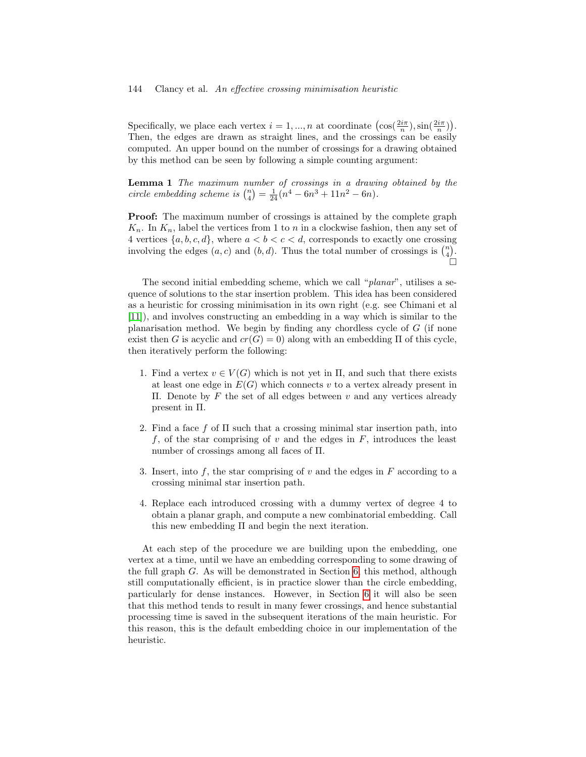#### 144 Clancy et al. An effective crossing minimisation heuristic

Specifically, we place each vertex  $i = 1, ..., n$  at coordinate  $\left(\cos(\frac{2i\pi}{n}), \sin(\frac{2i\pi}{n})\right)$ . Then, the edges are drawn as straight lines, and the crossings can be easily computed. An upper bound on the number of crossings for a drawing obtained by this method can be seen by following a simple counting argument:

Lemma 1 The maximum number of crossings in a drawing obtained by the circle embedding scheme is  $\binom{n}{4} = \frac{1}{24} (n^4 - 6n^3 + 11n^2 - 6n)$ .

Proof: The maximum number of crossings is attained by the complete graph  $K_n$ . In  $K_n$ , label the vertices from 1 to n in a clockwise fashion, then any set of 4 vertices  $\{a, b, c, d\}$ , where  $a < b < c < d$ , corresponds to exactly one crossing involving the edges  $(a, c)$  and  $(b, d)$ . Thus the total number of crossings is  $\binom{n}{4}$ .  $\Box$ 

The second initial embedding scheme, which we call "planar", utilises a sequence of solutions to the star insertion problem. This idea has been considered as a heuristic for crossing minimisation in its own right (e.g. see Chimani et al [\[11\]](#page-30-2)), and involves constructing an embedding in a way which is similar to the planarisation method. We begin by finding any chordless cycle of  $G$  (if none exist then G is acyclic and  $cr(G) = 0$ ) along with an embedding  $\Pi$  of this cycle, then iteratively perform the following:

- 1. Find a vertex  $v \in V(G)$  which is not yet in  $\Pi$ , and such that there exists at least one edge in  $E(G)$  which connects v to a vertex already present in Π. Denote by F the set of all edges between v and any vertices already present in Π.
- 2. Find a face f of  $\Pi$  such that a crossing minimal star insertion path, into f, of the star comprising of  $v$  and the edges in  $F$ , introduces the least number of crossings among all faces of Π.
- 3. Insert, into f, the star comprising of  $v$  and the edges in  $F$  according to a crossing minimal star insertion path.
- 4. Replace each introduced crossing with a dummy vertex of degree 4 to obtain a planar graph, and compute a new combinatorial embedding. Call this new embedding Π and begin the next iteration.

At each step of the procedure we are building upon the embedding, one vertex at a time, until we have an embedding corresponding to some drawing of the full graph G. As will be demonstrated in Section [6,](#page-18-0) this method, although still computationally efficient, is in practice slower than the circle embedding, particularly for dense instances. However, in Section [6](#page-18-0) it will also be seen that this method tends to result in many fewer crossings, and hence substantial processing time is saved in the subsequent iterations of the main heuristic. For this reason, this is the default embedding choice in our implementation of the heuristic.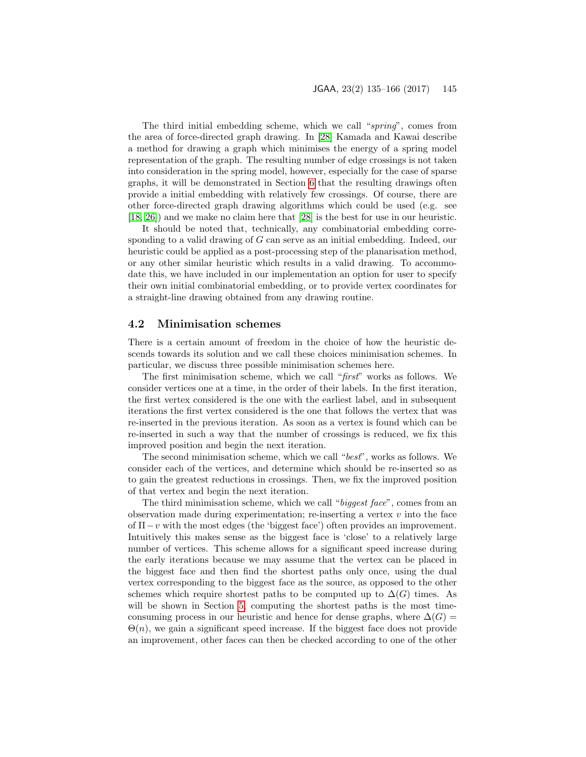#### JGAA, 23(2) 135–166 (2017) 145

The third initial embedding scheme, which we call "spring", comes from the area of force-directed graph drawing. In [\[28\]](#page-31-6) Kamada and Kawai describe a method for drawing a graph which minimises the energy of a spring model representation of the graph. The resulting number of edge crossings is not taken into consideration in the spring model, however, especially for the case of sparse graphs, it will be demonstrated in Section [6](#page-18-0) that the resulting drawings often provide a initial embedding with relatively few crossings. Of course, there are other force-directed graph drawing algorithms which could be used (e.g. see [\[18,](#page-30-4) [26\]](#page-31-5)) and we make no claim here that [\[28\]](#page-31-6) is the best for use in our heuristic.

It should be noted that, technically, any combinatorial embedding corresponding to a valid drawing of G can serve as an initial embedding. Indeed, our heuristic could be applied as a post-processing step of the planarisation method, or any other similar heuristic which results in a valid drawing. To accommodate this, we have included in our implementation an option for user to specify their own initial combinatorial embedding, or to provide vertex coordinates for a straight-line drawing obtained from any drawing routine.

#### <span id="page-10-0"></span>4.2 Minimisation schemes

There is a certain amount of freedom in the choice of how the heuristic descends towards its solution and we call these choices minimisation schemes. In particular, we discuss three possible minimisation schemes here.

The first minimisation scheme, which we call "first" works as follows. We consider vertices one at a time, in the order of their labels. In the first iteration, the first vertex considered is the one with the earliest label, and in subsequent iterations the first vertex considered is the one that follows the vertex that was re-inserted in the previous iteration. As soon as a vertex is found which can be re-inserted in such a way that the number of crossings is reduced, we fix this improved position and begin the next iteration.

The second minimisation scheme, which we call "best", works as follows. We consider each of the vertices, and determine which should be re-inserted so as to gain the greatest reductions in crossings. Then, we fix the improved position of that vertex and begin the next iteration.

The third minimisation scheme, which we call "biggest face", comes from an observation made during experimentation; re-inserting a vertex  $v$  into the face of  $\Pi-v$  with the most edges (the 'biggest face') often provides an improvement. Intuitively this makes sense as the biggest face is 'close' to a relatively large number of vertices. This scheme allows for a significant speed increase during the early iterations because we may assume that the vertex can be placed in the biggest face and then find the shortest paths only once, using the dual vertex corresponding to the biggest face as the source, as opposed to the other schemes which require shortest paths to be computed up to  $\Delta(G)$  times. As will be shown in Section [5,](#page-14-0) computing the shortest paths is the most timeconsuming process in our heuristic and hence for dense graphs, where  $\Delta(G)$  =  $\Theta(n)$ , we gain a significant speed increase. If the biggest face does not provide an improvement, other faces can then be checked according to one of the other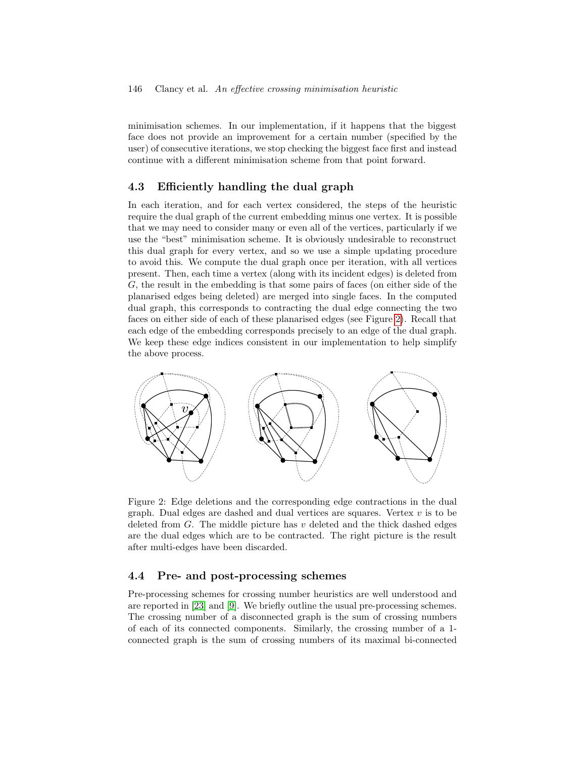minimisation schemes. In our implementation, if it happens that the biggest face does not provide an improvement for a certain number (specified by the user) of consecutive iterations, we stop checking the biggest face first and instead continue with a different minimisation scheme from that point forward.

#### <span id="page-11-1"></span>4.3 Efficiently handling the dual graph

In each iteration, and for each vertex considered, the steps of the heuristic require the dual graph of the current embedding minus one vertex. It is possible that we may need to consider many or even all of the vertices, particularly if we use the "best" minimisation scheme. It is obviously undesirable to reconstruct this dual graph for every vertex, and so we use a simple updating procedure to avoid this. We compute the dual graph once per iteration, with all vertices present. Then, each time a vertex (along with its incident edges) is deleted from G, the result in the embedding is that some pairs of faces (on either side of the planarised edges being deleted) are merged into single faces. In the computed dual graph, this corresponds to contracting the dual edge connecting the two faces on either side of each of these planarised edges (see Figure [2\)](#page-11-0). Recall that each edge of the embedding corresponds precisely to an edge of the dual graph. We keep these edge indices consistent in our implementation to help simplify the above process.



<span id="page-11-0"></span>Figure 2: Edge deletions and the corresponding edge contractions in the dual graph. Dual edges are dashed and dual vertices are squares. Vertex  $v$  is to be deleted from  $G$ . The middle picture has v deleted and the thick dashed edges are the dual edges which are to be contracted. The right picture is the result after multi-edges have been discarded.

#### 4.4 Pre- and post-processing schemes

Pre-processing schemes for crossing number heuristics are well understood and are reported in [\[23\]](#page-31-8) and [\[9\]](#page-29-5). We briefly outline the usual pre-processing schemes. The crossing number of a disconnected graph is the sum of crossing numbers of each of its connected components. Similarly, the crossing number of a 1 connected graph is the sum of crossing numbers of its maximal bi-connected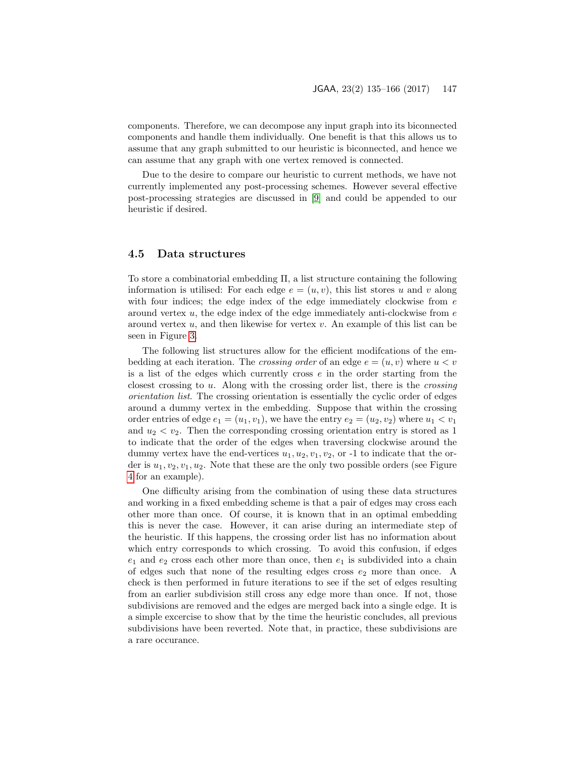components. Therefore, we can decompose any input graph into its biconnected components and handle them individually. One benefit is that this allows us to assume that any graph submitted to our heuristic is biconnected, and hence we can assume that any graph with one vertex removed is connected.

Due to the desire to compare our heuristic to current methods, we have not currently implemented any post-processing schemes. However several effective post-processing strategies are discussed in [\[9\]](#page-29-5) and could be appended to our heuristic if desired.

#### <span id="page-12-0"></span>4.5 Data structures

To store a combinatorial embedding Π, a list structure containing the following information is utilised: For each edge  $e = (u, v)$ , this list stores u and v along with four indices; the edge index of the edge immediately clockwise from  $e$ around vertex  $u$ , the edge index of the edge immediately anti-clockwise from  $e$ around vertex  $u$ , and then likewise for vertex  $v$ . An example of this list can be seen in Figure [3.](#page-13-0)

The following list structures allow for the efficient modifcations of the embedding at each iteration. The *crossing order* of an edge  $e = (u, v)$  where  $u < v$ is a list of the edges which currently cross  $e$  in the order starting from the closest crossing to u. Along with the crossing order list, there is the crossing orientation list. The crossing orientation is essentially the cyclic order of edges around a dummy vertex in the embedding. Suppose that within the crossing order entries of edge  $e_1 = (u_1, v_1)$ , we have the entry  $e_2 = (u_2, v_2)$  where  $u_1 < v_1$ and  $u_2 < v_2$ . Then the corresponding crossing orientation entry is stored as 1 to indicate that the order of the edges when traversing clockwise around the dummy vertex have the end-vertices  $u_1, u_2, v_1, v_2$ , or -1 to indicate that the order is  $u_1, v_2, v_1, u_2$ . Note that these are the only two possible orders (see Figure [4](#page-13-1) for an example).

One difficulty arising from the combination of using these data structures and working in a fixed embedding scheme is that a pair of edges may cross each other more than once. Of course, it is known that in an optimal embedding this is never the case. However, it can arise during an intermediate step of the heuristic. If this happens, the crossing order list has no information about which entry corresponds to which crossing. To avoid this confusion, if edges  $e_1$  and  $e_2$  cross each other more than once, then  $e_1$  is subdivided into a chain of edges such that none of the resulting edges cross  $e_2$  more than once. A check is then performed in future iterations to see if the set of edges resulting from an earlier subdivision still cross any edge more than once. If not, those subdivisions are removed and the edges are merged back into a single edge. It is a simple excercise to show that by the time the heuristic concludes, all previous subdivisions have been reverted. Note that, in practice, these subdivisions are a rare occurance.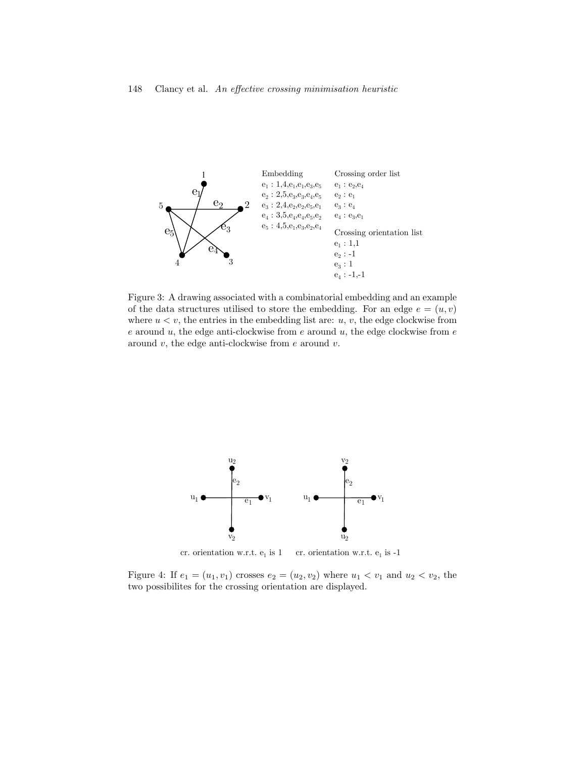<span id="page-13-0"></span>

Figure 3: A drawing associated with a combinatorial embedding and an example of the data structures utilised to store the embedding. For an edge  $e = (u, v)$ where  $u < v$ , the entries in the embedding list are:  $u, v$ , the edge clockwise from  $e$  around  $u$ , the edge anti-clockwise from  $e$  around  $u$ , the edge clockwise from  $e$ around  $v$ , the edge anti-clockwise from  $e$  around  $v$ .



<span id="page-13-1"></span>cr. orientation w.r.t.  $e_1$  is 1 cr. orientation w.r.t.  $e_1$  is -1

Figure 4: If  $e_1 = (u_1, v_1)$  crosses  $e_2 = (u_2, v_2)$  where  $u_1 < v_1$  and  $u_2 < v_2$ , the two possibilites for the crossing orientation are displayed.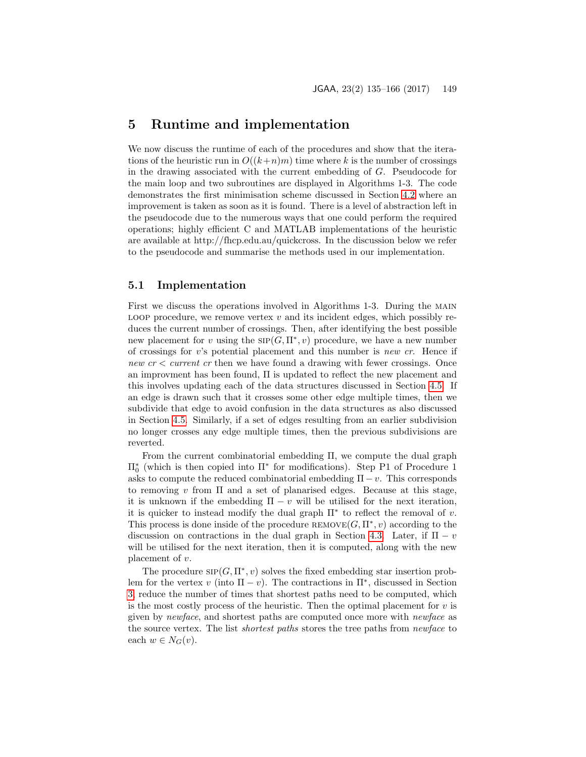### <span id="page-14-0"></span>5 Runtime and implementation

We now discuss the runtime of each of the procedures and show that the iterations of the heuristic run in  $O((k+n)m)$  time where k is the number of crossings in the drawing associated with the current embedding of G. Pseudocode for the main loop and two subroutines are displayed in Algorithms 1-3. The code demonstrates the first minimisation scheme discussed in Section [4.2](#page-10-0) where an improvement is taken as soon as it is found. There is a level of abstraction left in the pseudocode due to the numerous ways that one could perform the required operations; highly efficient C and MATLAB implementations of the heuristic are available at http://fhcp.edu.au/quickcross. In the discussion below we refer to the pseudocode and summarise the methods used in our implementation.

#### 5.1 Implementation

First we discuss the operations involved in Algorithms 1-3. During the main LOOP procedure, we remove vertex  $v$  and its incident edges, which possibly reduces the current number of crossings. Then, after identifying the best possible new placement for v using the  $\text{SIP}(\tilde{G}, \Pi^*, v)$  procedure, we have a new number of crossings for  $v$ 's potential placement and this number is *new cr*. Hence if new  $cr < current$  cr then we have found a drawing with fewer crossings. Once an improvment has been found, Π is updated to reflect the new placement and this involves updating each of the data structures discussed in Section [4.5.](#page-12-0) If an edge is drawn such that it crosses some other edge multiple times, then we subdivide that edge to avoid confusion in the data structures as also discussed in Section [4.5.](#page-12-0) Similarly, if a set of edges resulting from an earlier subdivision no longer crosses any edge multiple times, then the previous subdivisions are reverted.

From the current combinatorial embedding Π, we compute the dual graph Π<sup>∗</sup> 0 (which is then copied into Π<sup>∗</sup> for modifications). Step P1 of Procedure 1 asks to compute the reduced combinatorial embedding  $\Pi - v$ . This corresponds to removing v from  $\Pi$  and a set of planarised edges. Because at this stage, it is unknown if the embedding  $\Pi - v$  will be utilised for the next iteration, it is quicker to instead modify the dual graph  $\Pi^*$  to reflect the removal of v. This process is done inside of the procedure  $\mathsf{REMOVE}(G,\Pi^*,v)$  according to the discussion on contractions in the dual graph in Section [4.3.](#page-11-1) Later, if  $\Pi - v$ will be utilised for the next iteration, then it is computed, along with the new placement of v.

The procedure  $\text{SIP}(G, \Pi^*, v)$  solves the fixed embedding star insertion problem for the vertex v (into  $\Pi - v$ ). The contractions in  $\Pi^*$ , discussed in Section [3,](#page-6-0) reduce the number of times that shortest paths need to be computed, which is the most costly process of the heuristic. Then the optimal placement for  $v$  is given by newface, and shortest paths are computed once more with newface as the source vertex. The list shortest paths stores the tree paths from newface to each  $w \in N_G(v)$ .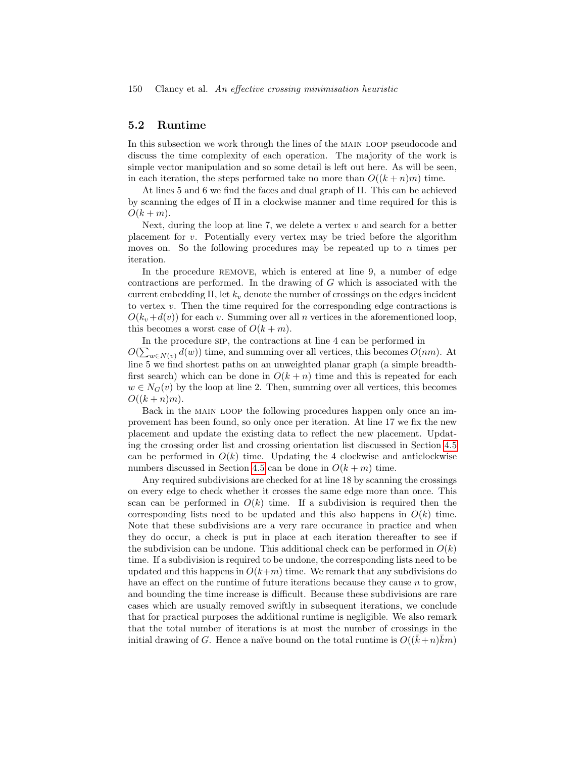#### 5.2 Runtime

In this subsection we work through the lines of the MAIN LOOP pseudocode and discuss the time complexity of each operation. The majority of the work is simple vector manipulation and so some detail is left out here. As will be seen, in each iteration, the steps performed take no more than  $O((k+n)m)$  time.

At lines 5 and 6 we find the faces and dual graph of Π. This can be achieved by scanning the edges of Π in a clockwise manner and time required for this is  $O(k+m)$ .

Next, during the loop at line 7, we delete a vertex  $v$  and search for a better placement for v. Potentially every vertex may be tried before the algorithm moves on. So the following procedures may be repeated up to  $n$  times per iteration.

In the procedure REMOVE, which is entered at line 9, a number of edge contractions are performed. In the drawing of G which is associated with the current embedding  $\Pi$ , let  $k_v$  denote the number of crossings on the edges incident to vertex v. Then the time required for the corresponding edge contractions is  $O(k_v+d(v))$  for each v. Summing over all n vertices in the aforementioned loop, this becomes a worst case of  $O(k + m)$ .

In the procedure sip, the contractions at line 4 can be performed in  $O(\sum_{w \in N(v)} d(w))$  time, and summing over all vertices, this becomes  $O(nm)$ . At line 5 we find shortest paths on an unweighted planar graph (a simple breadthfirst search) which can be done in  $O(k + n)$  time and this is repeated for each  $w \in N_G(v)$  by the loop at line 2. Then, summing over all vertices, this becomes  $O((k+n)m)$ .

Back in the MAIN LOOP the following procedures happen only once an improvement has been found, so only once per iteration. At line 17 we fix the new placement and update the existing data to reflect the new placement. Updating the crossing order list and crossing orientation list discussed in Section [4.5](#page-12-0) can be performed in  $O(k)$  time. Updating the 4 clockwise and anticlockwise numbers discussed in Section [4.5](#page-12-0) can be done in  $O(k + m)$  time.

Any required subdivisions are checked for at line 18 by scanning the crossings on every edge to check whether it crosses the same edge more than once. This scan can be performed in  $O(k)$  time. If a subdivision is required then the corresponding lists need to be updated and this also happens in  $O(k)$  time. Note that these subdivisions are a very rare occurance in practice and when they do occur, a check is put in place at each iteration thereafter to see if the subdivision can be undone. This additional check can be performed in  $O(k)$ time. If a subdivision is required to be undone, the corresponding lists need to be updated and this happens in  $O(k+m)$  time. We remark that any subdivisions do have an effect on the runtime of future iterations because they cause  $n$  to grow, and bounding the time increase is difficult. Because these subdivisions are rare cases which are usually removed swiftly in subsequent iterations, we conclude that for practical purposes the additional runtime is negligible. We also remark that the total number of iterations is at most the number of crossings in the initial drawing of G. Hence a naïve bound on the total runtime is  $O((\bar{k} + n)\bar{k}m)$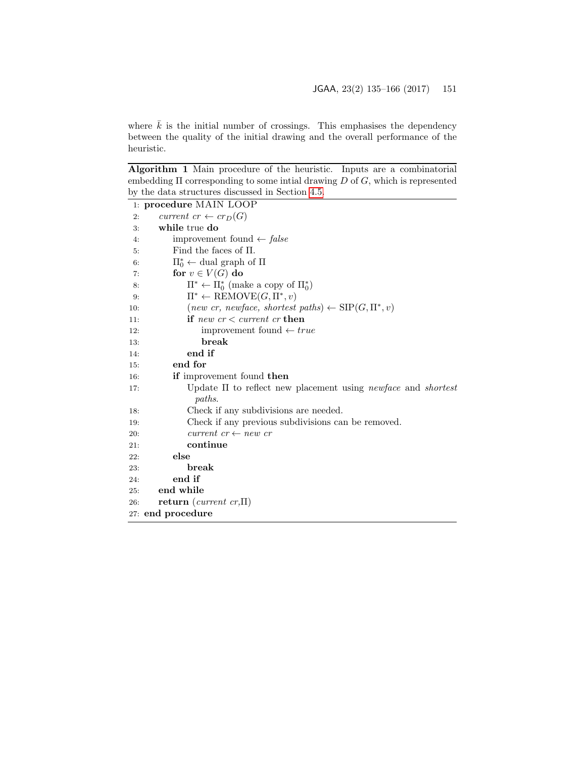where  $\bar{k}$  is the initial number of crossings. This emphasises the dependency between the quality of the initial drawing and the overall performance of the heuristic.

Algorithm 1 Main procedure of the heuristic. Inputs are a combinatorial embedding  $\Pi$  corresponding to some intial drawing  $D$  of  $G$ , which is represented by the data structures discussed in Section [4.5.](#page-12-0)

|     | 1: procedure MAIN LOOP                                                                   |
|-----|------------------------------------------------------------------------------------------|
| 2:  | current $cr \leftarrow cr_D(G)$                                                          |
| 3:  | while true do                                                                            |
| 4:  | improvement found $\leftarrow$ false                                                     |
| 5:  | Find the faces of $\Pi$ .                                                                |
| 6:  | $\Pi_0^* \leftarrow$ dual graph of $\Pi$                                                 |
| 7:  | for $v \in V(G)$ do                                                                      |
| 8:  | $\Pi^* \leftarrow \Pi_0^*$ (make a copy of $\Pi_0^*$ )                                   |
| 9.  | $\Pi^* \leftarrow \text{REMove}(G, \Pi^*, v)$                                            |
| 10: | $(new cr, newface, shortest paths) \leftarrow \text{SIP}(G, \Pi^*, v)$                   |
| 11: | if new $cr < current$ cr then                                                            |
| 12: | improvement found $\leftarrow true$                                                      |
| 13: | break                                                                                    |
| 14: | end if                                                                                   |
| 15: | end for                                                                                  |
| 16: | if improvement found then                                                                |
| 17: | Update $\Pi$ to reflect new placement using <i>newface</i> and <i>shortest</i><br>paths. |
| 18: | Check if any subdivisions are needed.                                                    |
| 19: | Check if any previous subdivisions can be removed.                                       |
| 20: | current $cr \leftarrow new \; cr$                                                        |
| 21: | continue                                                                                 |
| 22: | else                                                                                     |
| 23: | break                                                                                    |
| 24: | end if                                                                                   |
| 25: | end while                                                                                |
| 26: | return (current cr, $\Pi$ )                                                              |
|     | 27: end procedure                                                                        |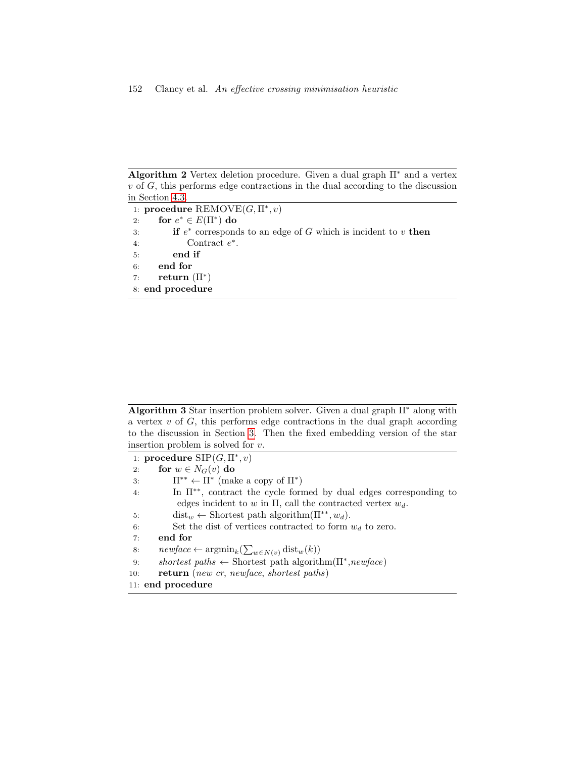Algorithm 2 Vertex deletion procedure. Given a dual graph  $\Pi^*$  and a vertex  $v$  of  $G$ , this performs edge contractions in the dual according to the discussion in Section [4.3.](#page-11-1)

1: procedure  $\mathrm{REMOVE}(G,\Pi^*,v)$ 2: for  $e^* \in E(\Pi^*)$  do 3: **if**  $e^*$  corresponds to an edge of G which is incident to v **then** 4: Contract e ∗ . 5: end if 6: end for 7: return  $(\Pi^*)$ 8: end procedure

Algorithm 3 Star insertion problem solver. Given a dual graph  $\Pi^*$  along with a vertex  $v$  of  $G$ , this performs edge contractions in the dual graph according to the discussion in Section [3.](#page-6-0) Then the fixed embedding version of the star insertion problem is solved for v.

1: procedure  $\text{SIP}(G,\Pi^*, v)$ 2: for  $w \in N_G(v)$  do 3:  $\Pi^{**} \leftarrow \Pi^*$  (make a copy of  $\Pi^*$ ) 4: In Π∗∗, contract the cycle formed by dual edges corresponding to edges incident to w in  $\Pi$ , call the contracted vertex  $w_d$ . 5: dist<sub>w</sub> ← Shortest path algorithm( $\Pi^{**}$ ,  $w_d$ ). 6: Set the dist of vertices contracted to form  $w_d$  to zero. 7: end for 8:  $newface \leftarrow \operatorname{argmin}_k(\sum_{w \in N(v)} \operatorname{dist}_w(k))$ 9: shortest paths  $\leftarrow$  Shortest path algorithm( $\Pi^*$ , newface) 10: return (new cr, newface, shortest paths) 11: end procedure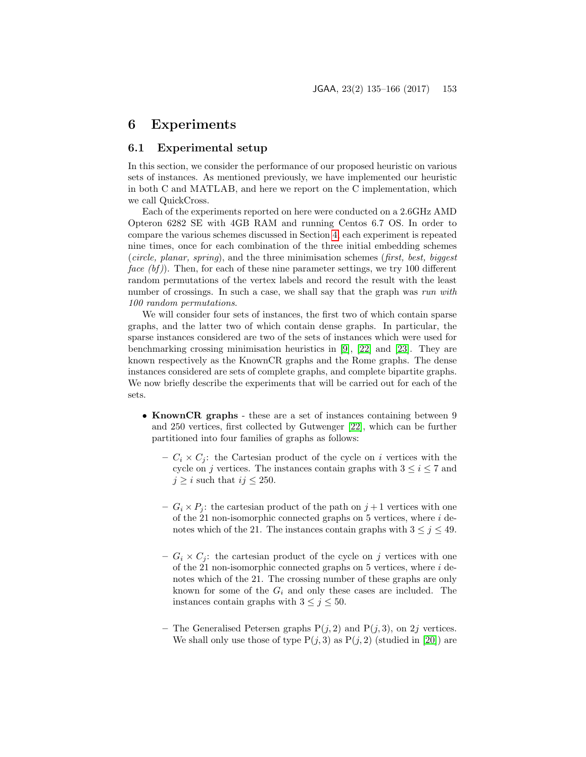### <span id="page-18-0"></span>6 Experiments

#### 6.1 Experimental setup

In this section, we consider the performance of our proposed heuristic on various sets of instances. As mentioned previously, we have implemented our heuristic in both C and MATLAB, and here we report on the C implementation, which we call QuickCross.

Each of the experiments reported on here were conducted on a 2.6GHz AMD Opteron 6282 SE with 4GB RAM and running Centos 6.7 OS. In order to compare the various schemes discussed in Section [4,](#page-8-0) each experiment is repeated nine times, once for each combination of the three initial embedding schemes (circle, planar, spring), and the three minimisation schemes (first, best, biggest face  $(bf)$ ). Then, for each of these nine parameter settings, we try 100 different random permutations of the vertex labels and record the result with the least number of crossings. In such a case, we shall say that the graph was run with 100 random permutations.

We will consider four sets of instances, the first two of which contain sparse graphs, and the latter two of which contain dense graphs. In particular, the sparse instances considered are two of the sets of instances which were used for benchmarking crossing minimisation heuristics in [\[9\]](#page-29-5), [\[22\]](#page-30-1) and [\[23\]](#page-31-8). They are known respectively as the KnownCR graphs and the Rome graphs. The dense instances considered are sets of complete graphs, and complete bipartite graphs. We now briefly describe the experiments that will be carried out for each of the sets.

- KnownCR graphs these are a set of instances containing between 9 and 250 vertices, first collected by Gutwenger [\[22\]](#page-30-1), which can be further partitioned into four families of graphs as follows:
	- $C_i \times C_j$ : the Cartesian product of the cycle on i vertices with the cycle on j vertices. The instances contain graphs with  $3 \leq i \leq 7$  and  $j \geq i$  such that  $ij \leq 250$ .
	- $G_i \times P_j$ : the cartesian product of the path on  $j+1$  vertices with one of the 21 non-isomorphic connected graphs on  $5$  vertices, where  $i$  denotes which of the 21. The instances contain graphs with  $3 \leq j \leq 49$ .
	- $G_i \times C_j$ : the cartesian product of the cycle on j vertices with one of the 21 non-isomorphic connected graphs on  $5$  vertices, where  $i$  denotes which of the 21. The crossing number of these graphs are only known for some of the  $G_i$  and only these cases are included. The instances contain graphs with  $3 \leq j \leq 50$ .
	- The Generalised Petersen graphs  $P(j, 2)$  and  $P(j, 3)$ , on 2j vertices. We shall only use those of type  $P(j, 3)$  as  $P(j, 2)$  (studied in [\[20\]](#page-30-10)) are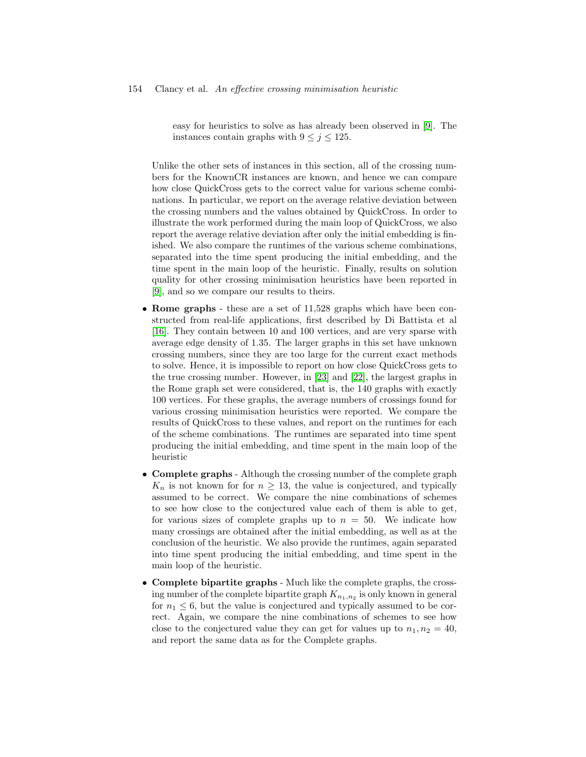easy for heuristics to solve as has already been observed in [\[9\]](#page-29-5). The instances contain graphs with  $9 \leq j \leq 125$ .

Unlike the other sets of instances in this section, all of the crossing numbers for the KnownCR instances are known, and hence we can compare how close QuickCross gets to the correct value for various scheme combinations. In particular, we report on the average relative deviation between the crossing numbers and the values obtained by QuickCross. In order to illustrate the work performed during the main loop of QuickCross, we also report the average relative deviation after only the initial embedding is finished. We also compare the runtimes of the various scheme combinations, separated into the time spent producing the initial embedding, and the time spent in the main loop of the heuristic. Finally, results on solution quality for other crossing minimisation heuristics have been reported in [\[9\]](#page-29-5), and so we compare our results to theirs.

- Rome graphs these are a set of 11,528 graphs which have been constructed from real-life applications, first described by Di Battista et al [\[16\]](#page-30-11). They contain between 10 and 100 vertices, and are very sparse with average edge density of 1.35. The larger graphs in this set have unknown crossing numbers, since they are too large for the current exact methods to solve. Hence, it is impossible to report on how close QuickCross gets to the true crossing number. However, in [\[23\]](#page-31-8) and [\[22\]](#page-30-1), the largest graphs in the Rome graph set were considered, that is, the 140 graphs with exactly 100 vertices. For these graphs, the average numbers of crossings found for various crossing minimisation heuristics were reported. We compare the results of QuickCross to these values, and report on the runtimes for each of the scheme combinations. The runtimes are separated into time spent producing the initial embedding, and time spent in the main loop of the heuristic
- Complete graphs Although the crossing number of the complete graph  $K_n$  is not known for for  $n \geq 13$ , the value is conjectured, and typically assumed to be correct. We compare the nine combinations of schemes to see how close to the conjectured value each of them is able to get, for various sizes of complete graphs up to  $n = 50$ . We indicate how many crossings are obtained after the initial embedding, as well as at the conclusion of the heuristic. We also provide the runtimes, again separated into time spent producing the initial embedding, and time spent in the main loop of the heuristic.
- Complete bipartite graphs Much like the complete graphs, the crossing number of the complete bipartite graph  $K_{n_1,n_2}$  is only known in general for  $n_1 \leq 6$ , but the value is conjectured and typically assumed to be correct. Again, we compare the nine combinations of schemes to see how close to the conjectured value they can get for values up to  $n_1, n_2 = 40$ , and report the same data as for the Complete graphs.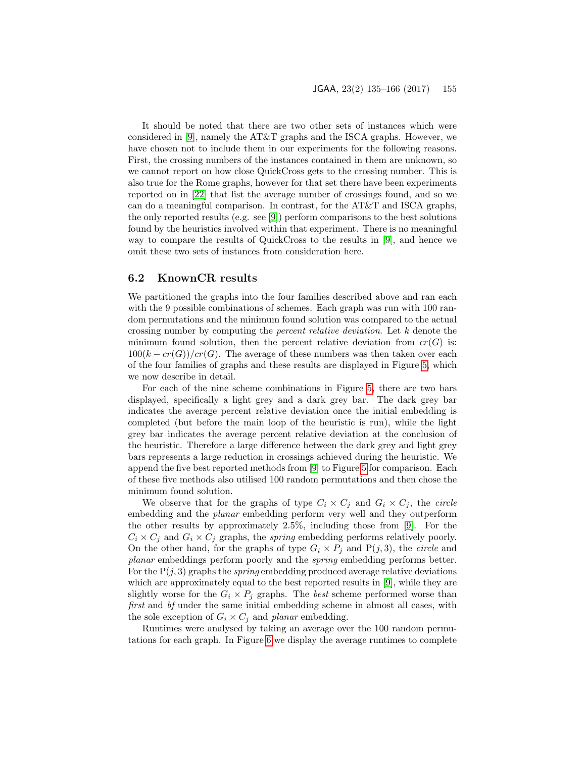It should be noted that there are two other sets of instances which were considered in [\[9\]](#page-29-5), namely the AT&T graphs and the ISCA graphs. However, we have chosen not to include them in our experiments for the following reasons. First, the crossing numbers of the instances contained in them are unknown, so we cannot report on how close QuickCross gets to the crossing number. This is also true for the Rome graphs, however for that set there have been experiments reported on in [\[22\]](#page-30-1) that list the average number of crossings found, and so we can do a meaningful comparison. In contrast, for the AT&T and ISCA graphs, the only reported results (e.g. see [\[9\]](#page-29-5)) perform comparisons to the best solutions found by the heuristics involved within that experiment. There is no meaningful way to compare the results of QuickCross to the results in [\[9\]](#page-29-5), and hence we omit these two sets of instances from consideration here.

#### <span id="page-20-0"></span>6.2 KnownCR results

We partitioned the graphs into the four families described above and ran each with the 9 possible combinations of schemes. Each graph was run with 100 random permutations and the minimum found solution was compared to the actual crossing number by computing the percent relative deviation. Let k denote the minimum found solution, then the percent relative deviation from  $cr(G)$  is:  $100(k - cr(G))/cr(G)$ . The average of these numbers was then taken over each of the four families of graphs and these results are displayed in Figure [5,](#page-21-0) which we now describe in detail.

For each of the nine scheme combinations in Figure [5,](#page-21-0) there are two bars displayed, specifically a light grey and a dark grey bar. The dark grey bar indicates the average percent relative deviation once the initial embedding is completed (but before the main loop of the heuristic is run), while the light grey bar indicates the average percent relative deviation at the conclusion of the heuristic. Therefore a large difference between the dark grey and light grey bars represents a large reduction in crossings achieved during the heuristic. We append the five best reported methods from [\[9\]](#page-29-5) to Figure [5](#page-21-0) for comparison. Each of these five methods also utilised 100 random permutations and then chose the minimum found solution.

We observe that for the graphs of type  $C_i \times C_j$  and  $G_i \times C_j$ , the *circle* embedding and the planar embedding perform very well and they outperform the other results by approximately 2.5%, including those from [\[9\]](#page-29-5). For the  $C_i \times C_j$  and  $G_i \times C_j$  graphs, the *spring* embedding performs relatively poorly. On the other hand, for the graphs of type  $G_i \times P_j$  and  $P(j, 3)$ , the *circle* and planar embeddings perform poorly and the spring embedding performs better. For the  $P(j, 3)$  graphs the *spring* embedding produced average relative deviations which are approximately equal to the best reported results in [\[9\]](#page-29-5), while they are slightly worse for the  $G_i \times P_j$  graphs. The *best* scheme performed worse than first and bf under the same initial embedding scheme in almost all cases, with the sole exception of  $G_i \times C_j$  and planar embedding.

Runtimes were analysed by taking an average over the 100 random permutations for each graph. In Figure [6](#page-22-0) we display the average runtimes to complete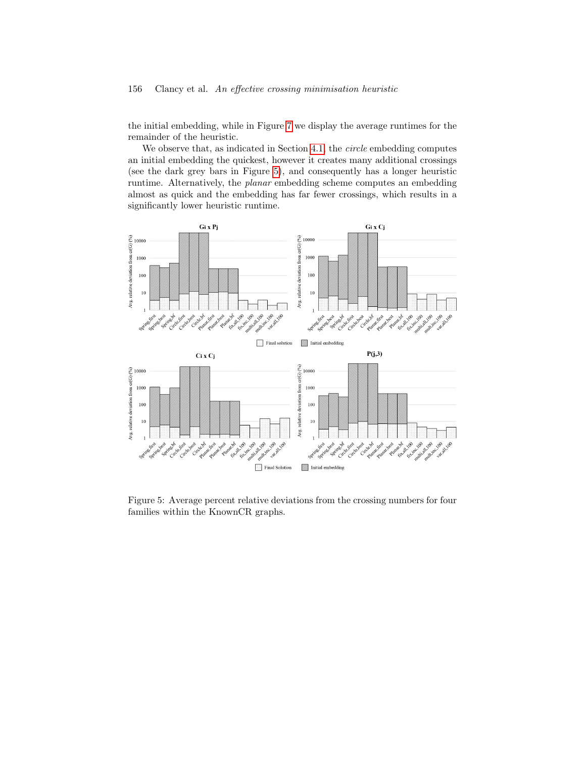#### 156 Clancy et al. An effective crossing minimisation heuristic

the initial embedding, while in Figure [7](#page-22-1) we display the average runtimes for the remainder of the heuristic.

We observe that, as indicated in Section [4.1,](#page-8-2) the *circle* embedding computes an initial embedding the quickest, however it creates many additional crossings (see the dark grey bars in Figure [5\)](#page-21-0), and consequently has a longer heuristic runtime. Alternatively, the planar embedding scheme computes an embedding almost as quick and the embedding has far fewer crossings, which results in a significantly lower heuristic runtime.



<span id="page-21-0"></span>Figure 5: Average percent relative deviations from the crossing numbers for four families within the KnownCR graphs.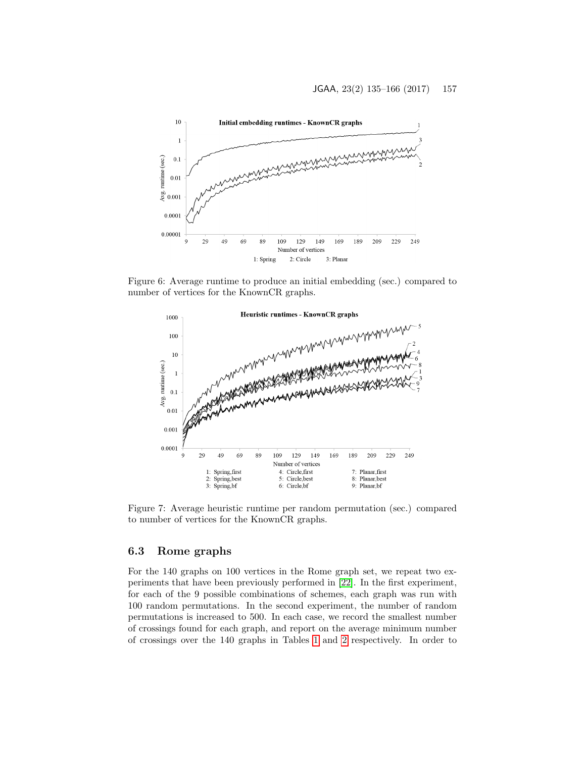

Figure 6: Average runtime to produce an initial embedding (sec.) compared to number of vertices for the KnownCR graphs.

<span id="page-22-0"></span>

<span id="page-22-1"></span>Figure 7: Average heuristic runtime per random permutation (sec.) compared to number of vertices for the KnownCR graphs.

### 6.3 Rome graphs

For the 140 graphs on 100 vertices in the Rome graph set, we repeat two experiments that have been previously performed in [\[22\]](#page-30-1). In the first experiment, for each of the 9 possible combinations of schemes, each graph was run with 100 random permutations. In the second experiment, the number of random permutations is increased to 500. In each case, we record the smallest number of crossings found for each graph, and report on the average minimum number of crossings over the 140 graphs in Tables [1](#page-23-0) and [2](#page-24-0) respectively. In order to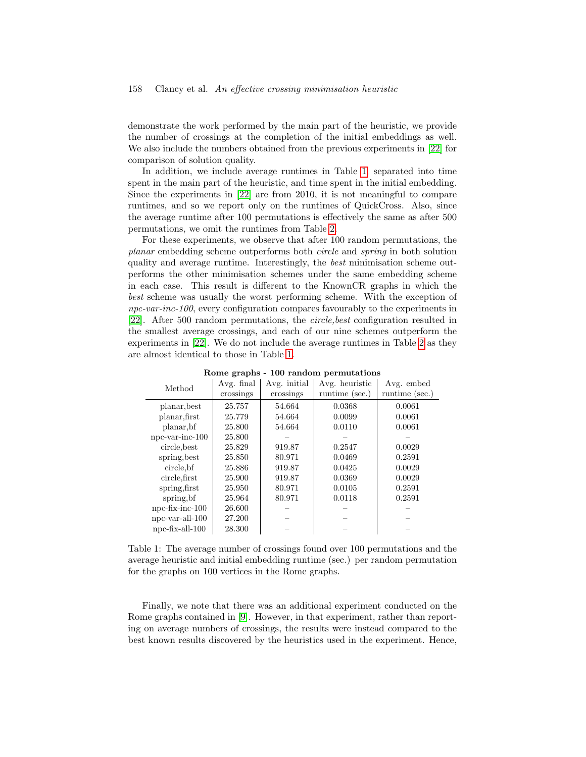demonstrate the work performed by the main part of the heuristic, we provide the number of crossings at the completion of the initial embeddings as well. We also include the numbers obtained from the previous experiments in [\[22\]](#page-30-1) for comparison of solution quality.

In addition, we include average runtimes in Table [1,](#page-23-0) separated into time spent in the main part of the heuristic, and time spent in the initial embedding. Since the experiments in [\[22\]](#page-30-1) are from 2010, it is not meaningful to compare runtimes, and so we report only on the runtimes of QuickCross. Also, since the average runtime after 100 permutations is effectively the same as after 500 permutations, we omit the runtimes from Table [2.](#page-24-0)

For these experiments, we observe that after 100 random permutations, the planar embedding scheme outperforms both circle and spring in both solution quality and average runtime. Interestingly, the best minimisation scheme outperforms the other minimisation schemes under the same embedding scheme in each case. This result is different to the KnownCR graphs in which the best scheme was usually the worst performing scheme. With the exception of npc-var-inc-100, every configuration compares favourably to the experiments in [\[22\]](#page-30-1). After 500 random permutations, the circle,best configuration resulted in the smallest average crossings, and each of our nine schemes outperform the experiments in [\[22\]](#page-30-1). We do not include the average runtimes in Table [2](#page-24-0) as they are almost identical to those in Table [1.](#page-23-0)

| Method                | Avg. final | Avg. initial | Avg. heuristic | Avg. embed     |
|-----------------------|------------|--------------|----------------|----------------|
|                       | crossings  | crossings    | runtime (sec.) | runtime (sec.) |
| planar, best          | 25.757     | 54.664       | 0.0368         | 0.0061         |
| planar, first         | 25.779     | 54.664       | 0.0099         | 0.0061         |
| planar, bf            | 25.800     | 54.664       | 0.0110         | 0.0061         |
| $npc-var-inc-100$     | 25.800     |              |                |                |
| circle, best          | 25.829     | 919.87       | 0.2547         | 0.0029         |
| spring, best          | 25.850     | 80.971       | 0.0469         | 0.2591         |
| circle, bf            | 25.886     | 919.87       | 0.0425         | 0.0029         |
| circle, first         | 25.900     | 919.87       | 0.0369         | 0.0029         |
| spring, first         | 25.950     | 80.971       | 0.0105         | 0.2591         |
| spring, bf            | 25.964     | 80.971       | 0.0118         | 0.2591         |
| $npc$ -fix-inc- $100$ | 26.600     |              |                |                |
| $npc-var-all-100$     | 27.200     |              |                |                |
| $npc$ -fix-all- $100$ | 28.300     |              |                |                |

<span id="page-23-0"></span>Rome graphs - 100 random permutations

Table 1: The average number of crossings found over 100 permutations and the average heuristic and initial embedding runtime (sec.) per random permutation for the graphs on 100 vertices in the Rome graphs.

Finally, we note that there was an additional experiment conducted on the Rome graphs contained in [\[9\]](#page-29-5). However, in that experiment, rather than reporting on average numbers of crossings, the results were instead compared to the best known results discovered by the heuristics used in the experiment. Hence,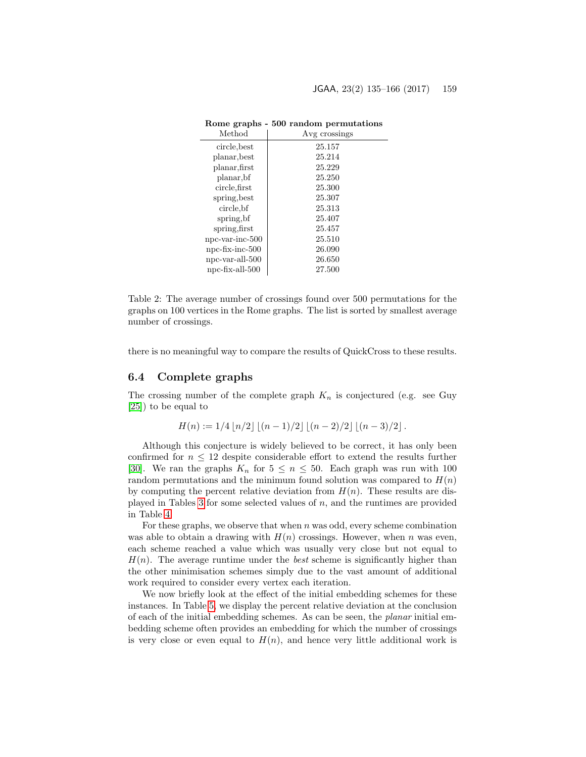| Method                | Avg crossings |
|-----------------------|---------------|
| circle, best          | 25.157        |
| planar, best          | 25.214        |
| planar, first         | 25.229        |
| planar, bf            | 25.250        |
| circle, first         | 25.300        |
| spring, best          | 25.307        |
| circle, bf            | 25.313        |
| spring, bf            | 25.407        |
| spring, first         | 25.457        |
| $npc-var-inc-500$     | 25.510        |
| $npc$ -fix-inc- $500$ | 26.090        |
| npc-var-all-500       | 26.650        |
| $npc$ -fix-all- $500$ | 27.500        |

Rome graphs - 500 random permutations

<span id="page-24-0"></span>Table 2: The average number of crossings found over 500 permutations for the graphs on 100 vertices in the Rome graphs. The list is sorted by smallest average number of crossings.

there is no meaningful way to compare the results of QuickCross to these results.

#### 6.4 Complete graphs

The crossing number of the complete graph  $K_n$  is conjectured (e.g. see Guy [\[25\]](#page-31-12)) to be equal to

$$
H(n) := 1/4 |n/2| |(n-1)/2| |(n-2)/2| |(n-3)/2|.
$$

Although this conjecture is widely believed to be correct, it has only been confirmed for  $n \leq 12$  despite considerable effort to extend the results further [\[30\]](#page-31-1). We ran the graphs  $K_n$  for  $5 \leq n \leq 50$ . Each graph was run with 100 random permutations and the minimum found solution was compared to  $H(n)$ by computing the percent relative deviation from  $H(n)$ . These results are dis-played in Tables [3](#page-25-0) for some selected values of  $n$ , and the runtimes are provided in Table [4.](#page-25-1)

For these graphs, we observe that when  $n$  was odd, every scheme combination was able to obtain a drawing with  $H(n)$  crossings. However, when n was even, each scheme reached a value which was usually very close but not equal to  $H(n)$ . The average runtime under the *best* scheme is significantly higher than the other minimisation schemes simply due to the vast amount of additional work required to consider every vertex each iteration.

We now briefly look at the effect of the initial embedding schemes for these instances. In Table [5,](#page-26-0) we display the percent relative deviation at the conclusion of each of the initial embedding schemes. As can be seen, the planar initial embedding scheme often provides an embedding for which the number of crossings is very close or even equal to  $H(n)$ , and hence very little additional work is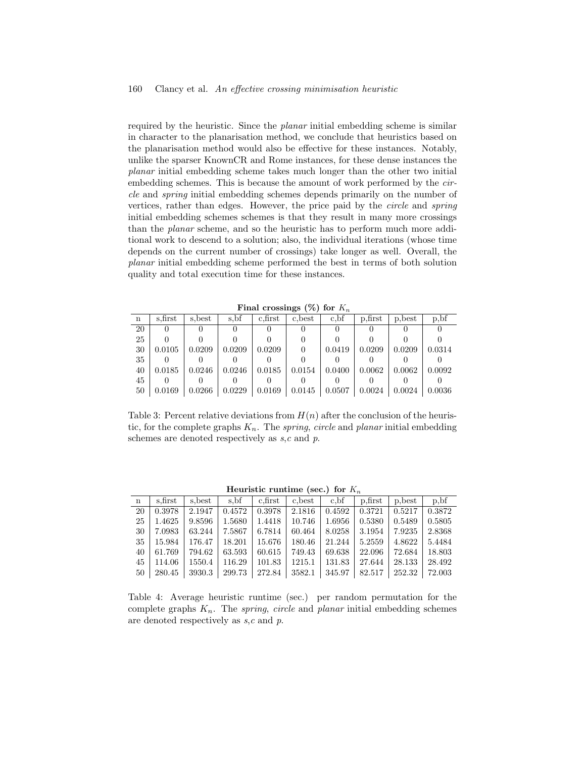required by the heuristic. Since the planar initial embedding scheme is similar in character to the planarisation method, we conclude that heuristics based on the planarisation method would also be effective for these instances. Notably, unlike the sparser KnownCR and Rome instances, for these dense instances the planar initial embedding scheme takes much longer than the other two initial embedding schemes. This is because the amount of work performed by the circle and spring initial embedding schemes depends primarily on the number of vertices, rather than edges. However, the price paid by the circle and spring initial embedding schemes schemes is that they result in many more crossings than the planar scheme, and so the heuristic has to perform much more additional work to descend to a solution; also, the individual iterations (whose time depends on the current number of crossings) take longer as well. Overall, the planar initial embedding scheme performed the best in terms of both solution quality and total execution time for these instances.

Final crossings  $(\%)$  for  $K_n$ 

| n  | s.first | s.best | s, bf  | c.first | c, best | $c$ , bf | p, first | p, best | p, bf  |
|----|---------|--------|--------|---------|---------|----------|----------|---------|--------|
| 20 |         |        |        |         |         |          |          |         |        |
| 25 |         |        |        |         |         |          |          |         |        |
| 30 | 0.0105  | 0.0209 | 0.0209 | 0.0209  | 0       | 0.0419   | 0.0209   | 0.0209  | 0.0314 |
| 35 |         |        |        |         |         |          |          |         |        |
| 40 | 0.0185  | 0.0246 | 0.0246 | 0.0185  | 0.0154  | 0.0400   | 0.0062   | 0.0062  | 0.0092 |
| 45 |         |        |        |         |         |          |          |         |        |
| 50 | 0.0169  | 0.0266 | 0.0229 | 0.0169  | 0.0145  | 0.0507   | 0.0024   | 0.0024  | 0.0036 |

<span id="page-25-0"></span>Table 3: Percent relative deviations from  $H(n)$  after the conclusion of the heuristic, for the complete graphs  $K_n$ . The *spring, circle* and *planar* initial embedding schemes are denoted respectively as  $s, c$  and  $p$ .

| Heuristic runtime (sec.) for $K$ |  |  |
|----------------------------------|--|--|

| n  | s.first | s.best | s.bf   | c.first | c, best | c.bf   | p, first | p, best | p, bf  |
|----|---------|--------|--------|---------|---------|--------|----------|---------|--------|
| 20 | 0.3978  | 2.1947 | 0.4572 | 0.3978  | 2.1816  | 0.4592 | 0.3721   | 0.5217  | 0.3872 |
| 25 | 1.4625  | 9.8596 | 1.5680 | 1.4418  | 10.746  | 1.6956 | 0.5380   | 0.5489  | 0.5805 |
| 30 | 7.0983  | 63.244 | 7.5867 | 6.7814  | 60.464  | 8.0258 | 3.1954   | 7.9235  | 2.8368 |
| 35 | 15.984  | 176.47 | 18.201 | 15.676  | 180.46  | 21.244 | 5.2559   | 4.8622  | 5.4484 |
| 40 | 61.769  | 794.62 | 63.593 | 60.615  | 749.43  | 69.638 | 22.096   | 72.684  | 18.803 |
| 45 | 114.06  | 1550.4 | 116.29 | 101.83  | 1215.1  | 131.83 | 27.644   | 28.133  | 28.492 |
| 50 | 280.45  | 3930.3 | 299.73 | 272.84  | 3582.1  | 345.97 | 82.517   | 252.32  | 72.003 |

<span id="page-25-1"></span>Table 4: Average heuristic runtime (sec.) per random permutation for the complete graphs  $K_n$ . The spring, circle and planar initial embedding schemes are denoted respectively as  $s, c$  and  $p$ .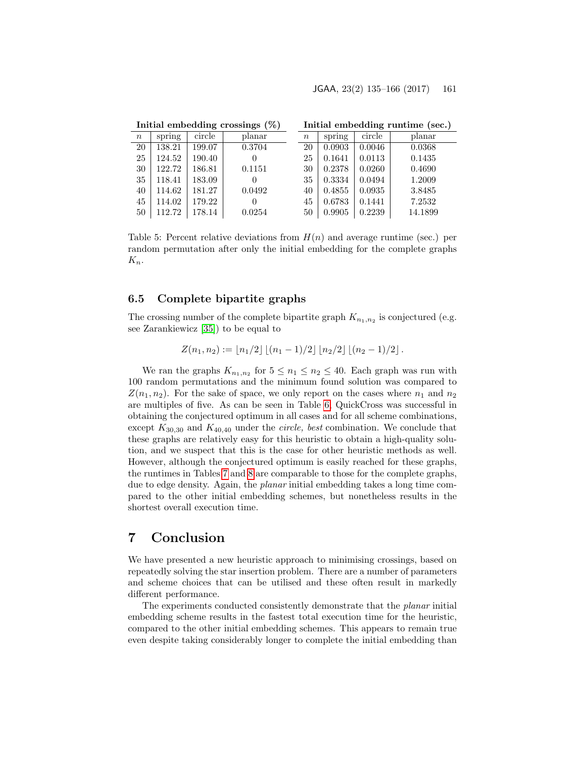|        | Initial embedding crossings $(\%)$ |        |        |                  | Initial embedding runtime (sec.) |        |         |  |  |  |
|--------|------------------------------------|--------|--------|------------------|----------------------------------|--------|---------|--|--|--|
| $\, n$ | spring                             | circle | planar | $\boldsymbol{n}$ | spring                           | circle | planar  |  |  |  |
| 20     | 138.21                             | 199.07 | 0.3704 | 20               | 0.0903                           | 0.0046 | 0.0368  |  |  |  |
| 25     | 124.52                             | 190.40 | 0      | 25               | 0.1641                           | 0.0113 | 0.1435  |  |  |  |
| 30     | 122.72                             | 186.81 | 0.1151 | 30               | 0.2378                           | 0.0260 | 0.4690  |  |  |  |
| 35     | 118.41                             | 183.09 | 0      | 35               | 0.3334                           | 0.0494 | 1.2009  |  |  |  |
| 40     | 114.62                             | 181.27 | 0.0492 | 40               | 0.4855                           | 0.0935 | 3.8485  |  |  |  |
| 45     | 114.02                             | 179.22 | 0      | 45               | 0.6783                           | 0.1441 | 7.2532  |  |  |  |
| 50     | 112.72                             | 178.14 | 0.0254 | 50               | 0.9905                           | 0.2239 | 14.1899 |  |  |  |

<span id="page-26-0"></span>Table 5: Percent relative deviations from  $H(n)$  and average runtime (sec.) per random permutation after only the initial embedding for the complete graphs  $K_n$ .

#### 6.5 Complete bipartite graphs

The crossing number of the complete bipartite graph  $K_{n_1,n_2}$  is conjectured (e.g. see Zarankiewicz [\[35\]](#page-31-13)) to be equal to

$$
Z(n_1, n_2) := \lfloor n_1/2 \rfloor \lfloor (n_1 - 1)/2 \rfloor \lfloor n_2/2 \rfloor \lfloor (n_2 - 1)/2 \rfloor.
$$

We ran the graphs  $K_{n_1,n_2}$  for  $5 \leq n_1 \leq n_2 \leq 40$ . Each graph was run with 100 random permutations and the minimum found solution was compared to  $Z(n_1, n_2)$ . For the sake of space, we only report on the cases where  $n_1$  and  $n_2$ are multiples of five. As can be seen in Table [6,](#page-27-0) QuickCross was successful in obtaining the conjectured optimum in all cases and for all scheme combinations, except  $K_{30,30}$  and  $K_{40,40}$  under the *circle*, best combination. We conclude that these graphs are relatively easy for this heuristic to obtain a high-quality solution, and we suspect that this is the case for other heuristic methods as well. However, although the conjectured optimum is easily reached for these graphs, the runtimes in Tables [7](#page-27-1) and [8](#page-28-0) are comparable to those for the complete graphs, due to edge density. Again, the planar initial embedding takes a long time compared to the other initial embedding schemes, but nonetheless results in the shortest overall execution time.

## 7 Conclusion

We have presented a new heuristic approach to minimising crossings, based on repeatedly solving the star insertion problem. There are a number of parameters and scheme choices that can be utilised and these often result in markedly different performance.

The experiments conducted consistently demonstrate that the planar initial embedding scheme results in the fastest total execution time for the heuristic, compared to the other initial embedding schemes. This appears to remain true even despite taking considerably longer to complete the initial embedding than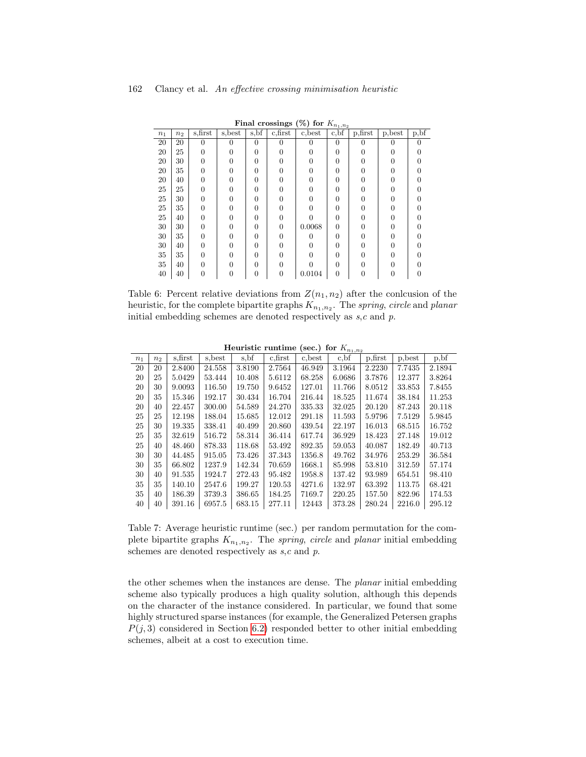|       | <b>F</b> mat crossings (70) for $N_{n_1,n_2}$ |          |         |                |             |         |          |            |                     |                   |  |
|-------|-----------------------------------------------|----------|---------|----------------|-------------|---------|----------|------------|---------------------|-------------------|--|
| $n_1$ | n <sub>2</sub>                                | s, first | s, best | s, bf          | $c$ , first | c, best | c, bf    | $p,$ first | $_\mathrm{p, best}$ | $p,\overline{bf}$ |  |
| 20    | 20                                            | $\theta$ | 0       | $\theta$       | 0           | 0       | $\Omega$ | $\Omega$   | 0                   |                   |  |
| 20    | 25                                            | 0        |         | $\overline{0}$ |             |         | $\Omega$ |            |                     |                   |  |
| 20    | 30                                            | 0        |         | 0              |             |         | 0        |            |                     |                   |  |
| 20    | 35                                            | 0        |         | 0              |             |         | 0        |            |                     |                   |  |
| 20    | 40                                            | 0        |         | $\theta$       | 0           |         | 0        |            |                     |                   |  |
| 25    | 25                                            | 0        |         | $\theta$       |             |         | 0        |            |                     |                   |  |
| 25    | 30                                            | 0        |         | $\theta$       |             |         | 0        |            |                     |                   |  |
| 25    | 35                                            | 0        |         | $\theta$       |             |         | 0        |            |                     |                   |  |
| 25    | 40                                            | 0        |         | $\theta$       | 0           |         | 0        |            |                     |                   |  |
| 30    | 30                                            | 0        |         | $\theta$       | $\theta$    | 0.0068  | $\Omega$ | 0          |                     |                   |  |
| 30    | 35                                            | 0        |         | $\theta$       | $\Omega$    |         | $\theta$ |            |                     |                   |  |
| 30    | 40                                            | 0        |         | $\theta$       |             |         | 0        |            |                     |                   |  |
| 35    | 35                                            | O        |         | $\theta$       |             |         | 0        |            |                     |                   |  |
| 35    | 40                                            | O        |         | $\theta$       |             |         | 0        |            |                     |                   |  |
| 40    | 40                                            | 0        |         | $\theta$       | 0           | 0.0104  | $\theta$ | O          |                     |                   |  |

<span id="page-27-0"></span>Final crossings  $(\%)$  for K.

Table 6: Percent relative deviations from  $Z(n_1, n_2)$  after the conlcusion of the heuristic, for the complete bipartite graphs  $K_{n_1,n_2}$ . The spring, circle and planar initial embedding schemes are denoted respectively as  $s, c$  and  $p$ .

Heuristic runtime (sec.) for  $K_{n_1,n_2}$ 

|                | 110ai 15010 - 1 anivenno<br>500<br>191<br>$\ldots n_1 \ldots n_9$ |          |         |        |         |         |          |          |         |        |
|----------------|-------------------------------------------------------------------|----------|---------|--------|---------|---------|----------|----------|---------|--------|
| n <sub>1</sub> | $n_2$                                                             | s, first | s, best | s, bf  | c.first | c, best | $c$ , bf | p, first | p, best | p, bf  |
| 20             | 20                                                                | 2.8400   | 24.558  | 3.8190 | 2.7564  | 46.949  | 3.1964   | 2.2230   | 7.7435  | 2.1894 |
| 20             | 25                                                                | 5.0429   | 53.444  | 10.408 | 5.6112  | 68.258  | 6.0686   | 3.7876   | 12.377  | 3.8264 |
| 20             | 30                                                                | 9.0093   | 116.50  | 19.750 | 9.6452  | 127.01  | 11.766   | 8.0512   | 33.853  | 7.8455 |
| 20             | 35                                                                | 15.346   | 192.17  | 30.434 | 16.704  | 216.44  | 18.525   | 11.674   | 38.184  | 11.253 |
| 20             | 40                                                                | 22.457   | 300.00  | 54.589 | 24.270  | 335.33  | 32.025   | 20.120   | 87.243  | 20.118 |
| 25             | 25                                                                | 12.198   | 188.04  | 15.685 | 12.012  | 291.18  | 11.593   | 5.9796   | 7.5129  | 5.9845 |
| 25             | 30                                                                | 19.335   | 338.41  | 40.499 | 20.860  | 439.54  | 22.197   | 16.013   | 68.515  | 16.752 |
| 25             | 35                                                                | 32.619   | 516.72  | 58.314 | 36.414  | 617.74  | 36.929   | 18.423   | 27.148  | 19.012 |
| 25             | 40                                                                | 48.460   | 878.33  | 118.68 | 53.492  | 892.35  | 59.053   | 40.087   | 182.49  | 40.713 |
| 30             | 30                                                                | 44.485   | 915.05  | 73.426 | 37.343  | 1356.8  | 49.762   | 34.976   | 253.29  | 36.584 |
| 30             | 35                                                                | 66.802   | 1237.9  | 142.34 | 70.659  | 1668.1  | 85.998   | 53.810   | 312.59  | 57.174 |
| 30             | 40                                                                | 91.535   | 1924.7  | 272.43 | 95.482  | 1958.8  | 137.42   | 93.989   | 654.51  | 98.410 |
| 35             | 35                                                                | 140.10   | 2547.6  | 199.27 | 120.53  | 4271.6  | 132.97   | 63.392   | 113.75  | 68.421 |
| 35             | 40                                                                | 186.39   | 3739.3  | 386.65 | 184.25  | 7169.7  | 220.25   | 157.50   | 822.96  | 174.53 |
| 40             | 40                                                                | 391.16   | 6957.5  | 683.15 | 277.11  | 12443   | 373.28   | 280.24   | 2216.0  | 295.12 |
|                |                                                                   |          |         |        |         |         |          |          |         |        |

<span id="page-27-1"></span>Table 7: Average heuristic runtime (sec.) per random permutation for the complete bipartite graphs  $K_{n_1,n_2}$ . The *spring, circle* and *planar* initial embedding schemes are denoted respectively as  $s,c$  and  $p$ .

the other schemes when the instances are dense. The planar initial embedding scheme also typically produces a high quality solution, although this depends on the character of the instance considered. In particular, we found that some highly structured sparse instances (for example, the Generalized Petersen graphs  $P(j, 3)$  considered in Section [6.2\)](#page-20-0) responded better to other initial embedding schemes, albeit at a cost to execution time.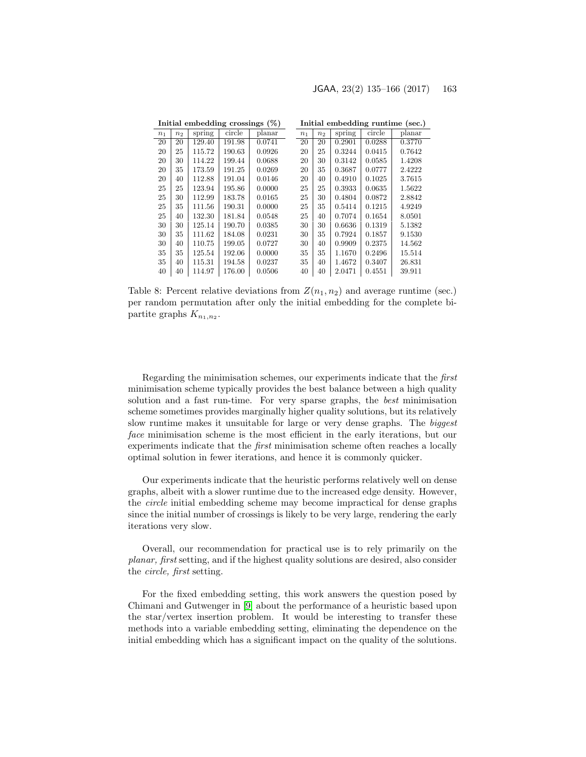<span id="page-28-0"></span>

|                |                |        | Initial embedding crossings $(\%)$ |        |                |                |        | Initial embedding runtime (sec.) |        |
|----------------|----------------|--------|------------------------------------|--------|----------------|----------------|--------|----------------------------------|--------|
| n <sub>1</sub> | n <sub>2</sub> | spring | circle                             | planar | n <sub>1</sub> | n <sub>2</sub> | spring | circle                           | planar |
| 20             | 20             | 129.40 | 191.98                             | 0.0741 | 20             | 20             | 0.2901 | 0.0288                           | 0.3770 |
| 20             | 25             | 115.72 | 190.63                             | 0.0926 | 20             | 25             | 0.3244 | 0.0415                           | 0.7642 |
| 20             | 30             | 114.22 | 199.44                             | 0.0688 | 20             | 30             | 0.3142 | 0.0585                           | 1.4208 |
| 20             | 35             | 173.59 | 191.25                             | 0.0269 | 20             | 35             | 0.3687 | 0.0777                           | 2.4222 |
| 20             | 40             | 112.88 | 191.04                             | 0.0146 | 20             | 40             | 0.4910 | 0.1025                           | 3.7615 |
| 25             | 25             | 123.94 | 195.86                             | 0.0000 | 25             | 25             | 0.3933 | 0.0635                           | 1.5622 |
| 25             | 30             | 112.99 | 183.78                             | 0.0165 | 25             | 30             | 0.4804 | 0.0872                           | 2.8842 |
| 25             | 35             | 111.56 | 190.31                             | 0.0000 | 25             | 35             | 0.5414 | 0.1215                           | 4.9249 |
| 25             | 40             | 132.30 | 181.84                             | 0.0548 | 25             | 40             | 0.7074 | 0.1654                           | 8.0501 |
| 30             | 30             | 125.14 | 190.70                             | 0.0385 | 30             | 30             | 0.6636 | 0.1319                           | 5.1382 |
| 30             | 35             | 111.62 | 184.08                             | 0.0231 | 30             | 35             | 0.7924 | 0.1857                           | 9.1530 |
| 30             | 40             | 110.75 | 199.05                             | 0.0727 | 30             | 40             | 0.9909 | 0.2375                           | 14.562 |
| 35             | 35             | 125.54 | 192.06                             | 0.0000 | 35             | 35             | 1.1670 | 0.2496                           | 15.514 |
| 35             | 40             | 115.31 | 194.58                             | 0.0237 | 35             | 40             | 1.4672 | 0.3407                           | 26.831 |
| 40             | 40             | 114.97 | 176.00                             | 0.0506 | 40             | 40             | 2.0471 | 0.4551                           | 39.911 |

Table 8: Percent relative deviations from  $Z(n_1, n_2)$  and average runtime (sec.) per random permutation after only the initial embedding for the complete bipartite graphs  $K_{n_1,n_2}$ .

Regarding the minimisation schemes, our experiments indicate that the first minimisation scheme typically provides the best balance between a high quality solution and a fast run-time. For very sparse graphs, the best minimisation scheme sometimes provides marginally higher quality solutions, but its relatively slow runtime makes it unsuitable for large or very dense graphs. The biggest face minimisation scheme is the most efficient in the early iterations, but our experiments indicate that the first minimisation scheme often reaches a locally optimal solution in fewer iterations, and hence it is commonly quicker.

Our experiments indicate that the heuristic performs relatively well on dense graphs, albeit with a slower runtime due to the increased edge density. However, the circle initial embedding scheme may become impractical for dense graphs since the initial number of crossings is likely to be very large, rendering the early iterations very slow.

Overall, our recommendation for practical use is to rely primarily on the planar, first setting, and if the highest quality solutions are desired, also consider the circle, first setting.

For the fixed embedding setting, this work answers the question posed by Chimani and Gutwenger in [\[9\]](#page-29-5) about the performance of a heuristic based upon the star/vertex insertion problem. It would be interesting to transfer these methods into a variable embedding setting, eliminating the dependence on the initial embedding which has a significant impact on the quality of the solutions.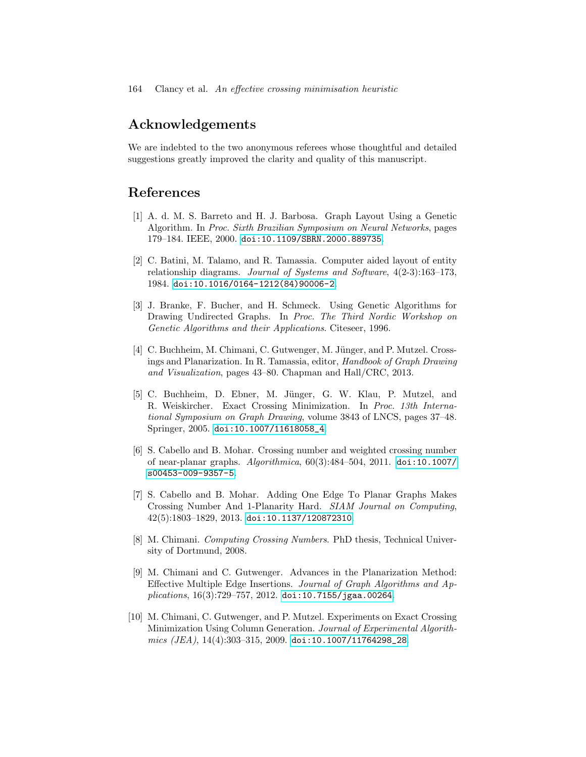## Acknowledgements

We are indebted to the two anonymous referees whose thoughtful and detailed suggestions greatly improved the clarity and quality of this manuscript.

## References

- <span id="page-29-8"></span>[1] A. d. M. S. Barreto and H. J. Barbosa. Graph Layout Using a Genetic Algorithm. In Proc. Sixth Brazilian Symposium on Neural Networks, pages 179–184. IEEE, 2000. [doi:10.1109/SBRN.2000.889735](http://dx.doi.org/10.1109/SBRN.2000.889735).
- <span id="page-29-9"></span>[2] C. Batini, M. Talamo, and R. Tamassia. Computer aided layout of entity relationship diagrams. Journal of Systems and Software, 4(2-3):163–173, 1984. [doi:10.1016/0164-1212\(84\)90006-2](http://dx.doi.org/10.1016/0164-1212(84)90006-2).
- <span id="page-29-7"></span>[3] J. Branke, F. Bucher, and H. Schmeck. Using Genetic Algorithms for Drawing Undirected Graphs. In Proc. The Third Nordic Workshop on Genetic Algorithms and their Applications. Citeseer, 1996.
- <span id="page-29-4"></span>[4] C. Buchheim, M. Chimani, C. Gutwenger, M. Jünger, and P. Mutzel. Crossings and Planarization. In R. Tamassia, editor, Handbook of Graph Drawing and Visualization, pages 43–80. Chapman and Hall/CRC, 2013.
- <span id="page-29-1"></span>[5] C. Buchheim, D. Ebner, M. Jünger, G. W. Klau, P. Mutzel, and R. Weiskircher. Exact Crossing Minimization. In Proc. 13th International Symposium on Graph Drawing, volume 3843 of LNCS, pages 37–48. Springer, 2005. [doi:10.1007/11618058\\_4](http://dx.doi.org/10.1007/11618058_4).
- <span id="page-29-0"></span>[6] S. Cabello and B. Mohar. Crossing number and weighted crossing number of near-planar graphs. Algorithmica, 60(3):484–504, 2011. [doi:10.1007/](http://dx.doi.org/10.1007/s00453-009-9357-5) [s00453-009-9357-5](http://dx.doi.org/10.1007/s00453-009-9357-5).
- <span id="page-29-6"></span>[7] S. Cabello and B. Mohar. Adding One Edge To Planar Graphs Makes Crossing Number And 1-Planarity Hard. SIAM Journal on Computing,  $42(5):1803-1829, 2013.$  [doi:10.1137/120872310](http://dx.doi.org/10.1137/120872310).
- <span id="page-29-2"></span>[8] M. Chimani. Computing Crossing Numbers. PhD thesis, Technical University of Dortmund, 2008.
- <span id="page-29-5"></span>[9] M. Chimani and C. Gutwenger. Advances in the Planarization Method: Effective Multiple Edge Insertions. Journal of Graph Algorithms and Ap $plications, 16(3):729-757, 2012.$ [doi:10.7155/jgaa.00264](http://dx.doi.org/10.7155/jgaa.00264).
- <span id="page-29-3"></span>[10] M. Chimani, C. Gutwenger, and P. Mutzel. Experiments on Exact Crossing Minimization Using Column Generation. Journal of Experimental Algorith $mics$  (JEA),  $14(4):303-315$ ,  $2009.$  [doi:10.1007/11764298\\_28](http://dx.doi.org/10.1007/11764298_28).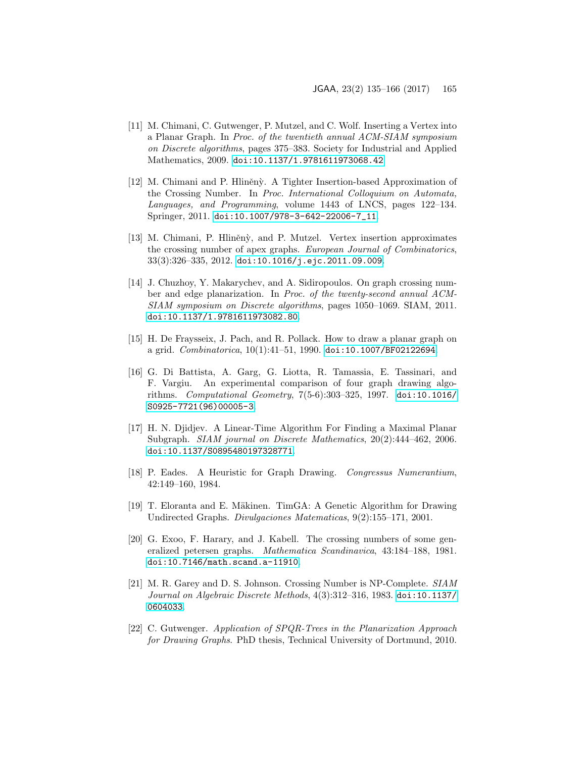- <span id="page-30-2"></span>[11] M. Chimani, C. Gutwenger, P. Mutzel, and C. Wolf. Inserting a Vertex into a Planar Graph. In Proc. of the twentieth annual ACM-SIAM symposium on Discrete algorithms, pages 375–383. Society for Industrial and Applied Mathematics, 2009. [doi:10.1137/1.9781611973068.42](http://dx.doi.org/10.1137/1.9781611973068.42).
- <span id="page-30-8"></span>[12] M. Chimani and P. Hliněn $\gamma$ . A Tighter Insertion-based Approximation of the Crossing Number. In Proc. International Colloquium on Automata, Languages, and Programming, volume 1443 of LNCS, pages 122–134. Springer, 2011. [doi:10.1007/978-3-642-22006-7\\_11](http://dx.doi.org/10.1007/978-3-642-22006-7_11).
- <span id="page-30-3"></span>[13] M. Chimani, P. Hliněnỳ, and P. Mutzel. Vertex insertion approximates the crossing number of apex graphs. European Journal of Combinatorics, 33(3):326–335, 2012. [doi:10.1016/j.ejc.2011.09.009](http://dx.doi.org/10.1016/j.ejc.2011.09.009).
- <span id="page-30-7"></span>[14] J. Chuzhoy, Y. Makarychev, and A. Sidiropoulos. On graph crossing number and edge planarization. In Proc. of the twenty-second annual ACM-SIAM symposium on Discrete algorithms, pages 1050–1069. SIAM, 2011. [doi:10.1137/1.9781611973082.80](http://dx.doi.org/10.1137/1.9781611973082.80).
- <span id="page-30-9"></span>[15] H. De Fraysseix, J. Pach, and R. Pollack. How to draw a planar graph on a grid. *Combinatorica*,  $10(1):41-51$ , 1990. [doi:10.1007/BF02122694](http://dx.doi.org/10.1007/BF02122694).
- <span id="page-30-11"></span>[16] G. Di Battista, A. Garg, G. Liotta, R. Tamassia, E. Tassinari, and F. Vargiu. An experimental comparison of four graph drawing algorithms. Computational Geometry, 7(5-6):303–325, 1997. [doi:10.1016/](http://dx.doi.org/10.1016/S0925-7721(96)00005-3) [S0925-7721\(96\)00005-3](http://dx.doi.org/10.1016/S0925-7721(96)00005-3).
- <span id="page-30-6"></span>[17] H. N. Djidjev. A Linear-Time Algorithm For Finding a Maximal Planar Subgraph. SIAM journal on Discrete Mathematics, 20(2):444–462, 2006. [doi:10.1137/S0895480197328771](http://dx.doi.org/10.1137/S0895480197328771).
- <span id="page-30-4"></span>[18] P. Eades. A Heuristic for Graph Drawing. Congressus Numerantium, 42:149–160, 1984.
- <span id="page-30-5"></span>[19] T. Eloranta and E. Mäkinen. TimGA: A Genetic Algorithm for Drawing Undirected Graphs. Divulgaciones Matematicas, 9(2):155–171, 2001.
- <span id="page-30-10"></span>[20] G. Exoo, F. Harary, and J. Kabell. The crossing numbers of some generalized petersen graphs. Mathematica Scandinavica, 43:184–188, 1981. [doi:10.7146/math.scand.a-11910](http://dx.doi.org/10.7146/math.scand.a-11910).
- <span id="page-30-0"></span>[21] M. R. Garey and D. S. Johnson. Crossing Number is NP-Complete. SIAM Journal on Algebraic Discrete Methods, 4(3):312–316, 1983. [doi:10.1137/](http://dx.doi.org/10.1137/0604033) [0604033](http://dx.doi.org/10.1137/0604033).
- <span id="page-30-1"></span>[22] C. Gutwenger. Application of SPQR-Trees in the Planarization Approach for Drawing Graphs. PhD thesis, Technical University of Dortmund, 2010.